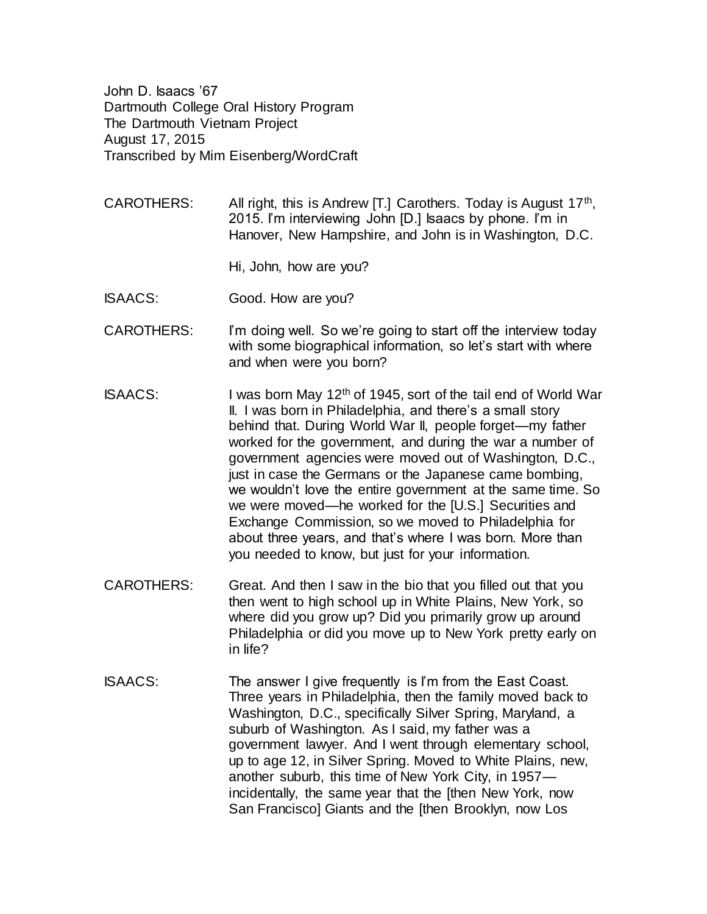John D. Isaacs '67 Dartmouth College Oral History Program The Dartmouth Vietnam Project August 17, 2015 Transcribed by Mim Eisenberg/WordCraft

- CAROTHERS: All right, this is Andrew [T.] Carothers. Today is August  $17<sup>th</sup>$ , 2015. I'm interviewing John [D.] Isaacs by phone. I'm in Hanover, New Hampshire, and John is in Washington, D.C.
	- Hi, John, how are you?
- ISAACS: Good. How are you?
- CAROTHERS: I'm doing well. So we're going to start off the interview today with some biographical information, so let's start with where and when were you born?
- ISAACS: I was born May 12th of 1945, sort of the tail end of World War II. I was born in Philadelphia, and there's a small story behind that. During World War II, people forget—my father worked for the government, and during the war a number of government agencies were moved out of Washington, D.C., just in case the Germans or the Japanese came bombing, we wouldn't love the entire government at the same time. So we were moved—he worked for the [U.S.] Securities and Exchange Commission, so we moved to Philadelphia for about three years, and that's where I was born. More than you needed to know, but just for your information.
- CAROTHERS: Great. And then I saw in the bio that you filled out that you then went to high school up in White Plains, New York, so where did you grow up? Did you primarily grow up around Philadelphia or did you move up to New York pretty early on in life?
- ISAACS: The answer I give frequently is I'm from the East Coast. Three years in Philadelphia, then the family moved back to Washington, D.C., specifically Silver Spring, Maryland, a suburb of Washington. As I said, my father was a government lawyer. And I went through elementary school, up to age 12, in Silver Spring. Moved to White Plains, new, another suburb, this time of New York City, in 1957 incidentally, the same year that the [then New York, now San Francisco] Giants and the [then Brooklyn, now Los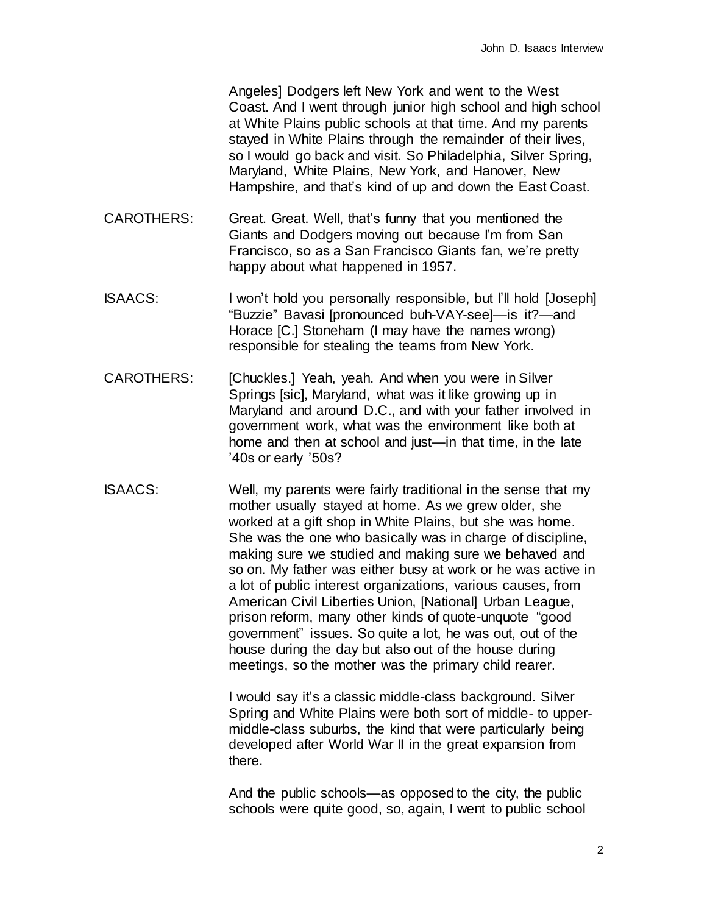Angeles] Dodgers left New York and went to the West Coast. And I went through junior high school and high school at White Plains public schools at that time. And my parents stayed in White Plains through the remainder of their lives, so I would go back and visit. So Philadelphia, Silver Spring, Maryland, White Plains, New York, and Hanover, New Hampshire, and that's kind of up and down the East Coast.

- CAROTHERS: Great. Great. Well, that's funny that you mentioned the Giants and Dodgers moving out because I'm from San Francisco, so as a San Francisco Giants fan, we're pretty happy about what happened in 1957.
- ISAACS: I won't hold you personally responsible, but I'll hold [Joseph] "Buzzie" Bavasi [pronounced buh-VAY-see]—is it?—and Horace [C.] Stoneham (I may have the names wrong) responsible for stealing the teams from New York.
- CAROTHERS: [Chuckles.] Yeah, yeah. And when you were in Silver Springs [sic], Maryland, what was it like growing up in Maryland and around D.C., and with your father involved in government work, what was the environment like both at home and then at school and just—in that time, in the late '40s or early '50s?
- ISAACS: Well, my parents were fairly traditional in the sense that my mother usually stayed at home. As we grew older, she worked at a gift shop in White Plains, but she was home. She was the one who basically was in charge of discipline, making sure we studied and making sure we behaved and so on. My father was either busy at work or he was active in a lot of public interest organizations, various causes, from American Civil Liberties Union, [National] Urban League, prison reform, many other kinds of quote-unquote "good government" issues. So quite a lot, he was out, out of the house during the day but also out of the house during meetings, so the mother was the primary child rearer.

I would say it's a classic middle-class background. Silver Spring and White Plains were both sort of middle- to uppermiddle-class suburbs, the kind that were particularly being developed after World War II in the great expansion from there.

And the public schools—as opposed to the city, the public schools were quite good, so, again, I went to public school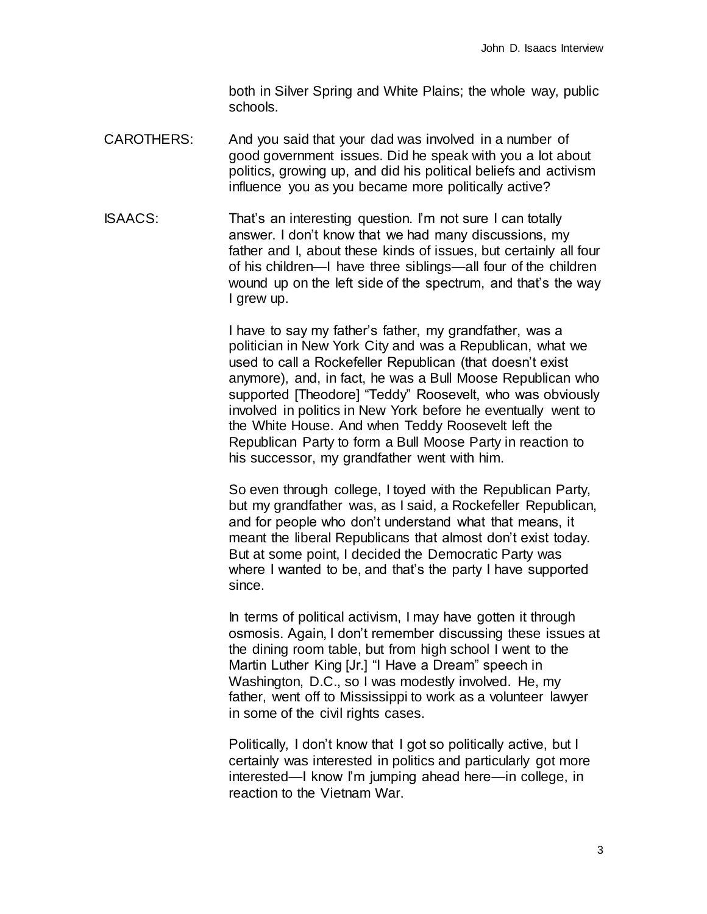both in Silver Spring and White Plains; the whole way, public schools.

CAROTHERS: And you said that your dad was involved in a number of good government issues. Did he speak with you a lot about politics, growing up, and did his political beliefs and activism influence you as you became more politically active?

ISAACS: That's an interesting question. I'm not sure I can totally answer. I don't know that we had many discussions, my father and I, about these kinds of issues, but certainly all four of his children—I have three siblings—all four of the children wound up on the left side of the spectrum, and that's the way I grew up.

> I have to say my father's father, my grandfather, was a politician in New York City and was a Republican, what we used to call a Rockefeller Republican (that doesn't exist anymore), and, in fact, he was a Bull Moose Republican who supported [Theodore] "Teddy" Roosevelt, who was obviously involved in politics in New York before he eventually went to the White House. And when Teddy Roosevelt left the Republican Party to form a Bull Moose Party in reaction to his successor, my grandfather went with him.

> So even through college, I toyed with the Republican Party, but my grandfather was, as I said, a Rockefeller Republican, and for people who don't understand what that means, it meant the liberal Republicans that almost don't exist today. But at some point, I decided the Democratic Party was where I wanted to be, and that's the party I have supported since.

In terms of political activism, I may have gotten it through osmosis. Again, I don't remember discussing these issues at the dining room table, but from high school I went to the Martin Luther King [Jr.] "I Have a Dream" speech in Washington, D.C., so I was modestly involved. He, my father, went off to Mississippi to work as a volunteer lawyer in some of the civil rights cases.

Politically, I don't know that I got so politically active, but I certainly was interested in politics and particularly got more interested—I know I'm jumping ahead here—in college, in reaction to the Vietnam War.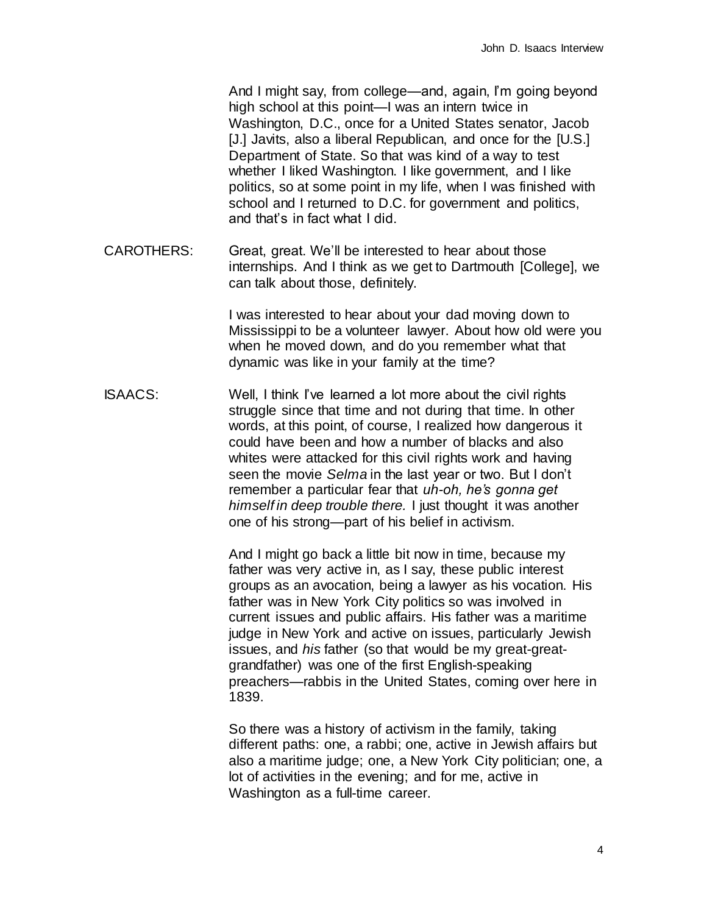And I might say, from college—and, again, I'm going beyond high school at this point—I was an intern twice in Washington, D.C., once for a United States senator, Jacob [J.] Javits, also a liberal Republican, and once for the [U.S.] Department of State. So that was kind of a way to test whether I liked Washington. I like government, and I like politics, so at some point in my life, when I was finished with school and I returned to D.C. for government and politics, and that's in fact what I did.

CAROTHERS: Great, great. We'll be interested to hear about those internships. And I think as we get to Dartmouth [College], we can talk about those, definitely.

> I was interested to hear about your dad moving down to Mississippi to be a volunteer lawyer. About how old were you when he moved down, and do you remember what that dynamic was like in your family at the time?

ISAACS: Well, I think I've learned a lot more about the civil rights struggle since that time and not during that time. In other words, at this point, of course, I realized how dangerous it could have been and how a number of blacks and also whites were attacked for this civil rights work and having seen the movie *Selma* in the last year or two. But I don't remember a particular fear that *uh-oh, he's gonna get himself in deep trouble there.* I just thought it was another one of his strong—part of his belief in activism.

> And I might go back a little bit now in time, because my father was very active in, as I say, these public interest groups as an avocation, being a lawyer as his vocation. His father was in New York City politics so was involved in current issues and public affairs. His father was a maritime judge in New York and active on issues, particularly Jewish issues, and *his* father (so that would be my great-greatgrandfather) was one of the first English-speaking preachers—rabbis in the United States, coming over here in 1839.

So there was a history of activism in the family, taking different paths: one, a rabbi; one, active in Jewish affairs but also a maritime judge; one, a New York City politician; one, a lot of activities in the evening; and for me, active in Washington as a full-time career.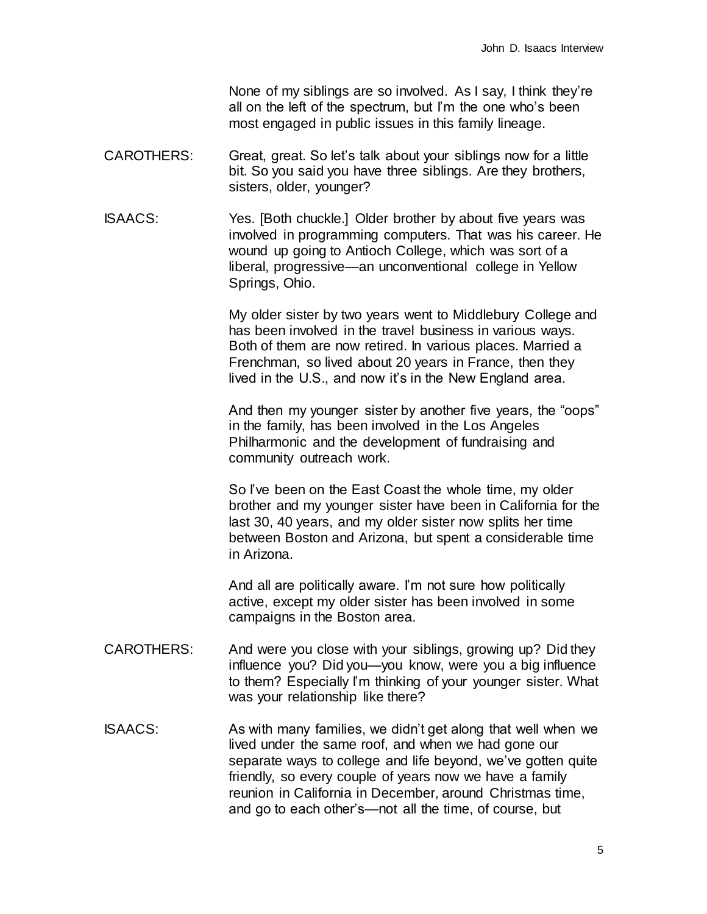None of my siblings are so involved. As I say, I think they're all on the left of the spectrum, but I'm the one who's been most engaged in public issues in this family lineage.

- CAROTHERS: Great, great. So let's talk about your siblings now for a little bit. So you said you have three siblings. Are they brothers, sisters, older, younger?
- ISAACS: Yes. [Both chuckle.] Older brother by about five years was involved in programming computers. That was his career. He wound up going to Antioch College, which was sort of a liberal, progressive—an unconventional college in Yellow Springs, Ohio.

My older sister by two years went to Middlebury College and has been involved in the travel business in various ways. Both of them are now retired. In various places. Married a Frenchman, so lived about 20 years in France, then they lived in the U.S., and now it's in the New England area.

And then my younger sister by another five years, the "oops" in the family, has been involved in the Los Angeles Philharmonic and the development of fundraising and community outreach work.

So I've been on the East Coast the whole time, my older brother and my younger sister have been in California for the last 30, 40 years, and my older sister now splits her time between Boston and Arizona, but spent a considerable time in Arizona.

And all are politically aware. I'm not sure how politically active, except my older sister has been involved in some campaigns in the Boston area.

- CAROTHERS: And were you close with your siblings, growing up? Did they influence you? Did you—you know, were you a big influence to them? Especially I'm thinking of your younger sister. What was your relationship like there?
- ISAACS: As with many families, we didn't get along that well when we lived under the same roof, and when we had gone our separate ways to college and life beyond, we've gotten quite friendly, so every couple of years now we have a family reunion in California in December, around Christmas time, and go to each other's—not all the time, of course, but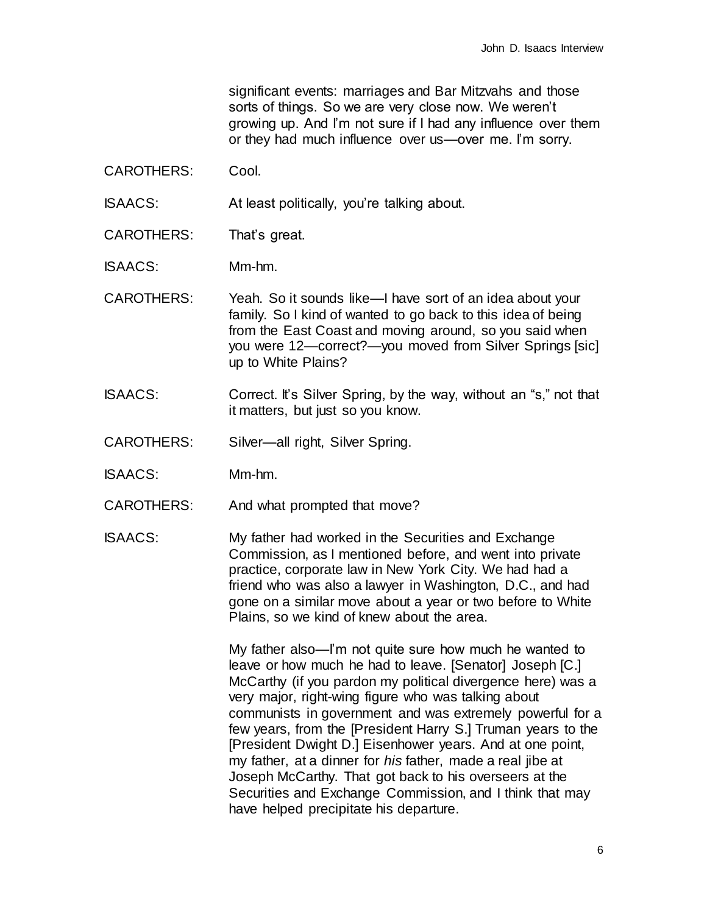significant events: marriages and Bar Mitzvahs and those sorts of things. So we are very close now. We weren't growing up. And I'm not sure if I had any influence over them or they had much influence over us—over me. I'm sorry.

CAROTHERS: Cool.

ISAACS: At least politically, you're talking about.

CAROTHERS: That's great.

ISAACS: Mm-hm.

- CAROTHERS: Yeah. So it sounds like—I have sort of an idea about your family. So I kind of wanted to go back to this idea of being from the East Coast and moving around, so you said when you were 12—correct?—you moved from Silver Springs [sic] up to White Plains?
- ISAACS: Correct. It's Silver Spring, by the way, without an "s," not that it matters, but just so you know.
- CAROTHERS: Silver—all right, Silver Spring.
- ISAACS: Mm-hm.
- CAROTHERS: And what prompted that move?
- ISAACS: My father had worked in the Securities and Exchange Commission, as I mentioned before, and went into private practice, corporate law in New York City. We had had a friend who was also a lawyer in Washington, D.C., and had gone on a similar move about a year or two before to White Plains, so we kind of knew about the area.

My father also—I'm not quite sure how much he wanted to leave or how much he had to leave. [Senator] Joseph [C.] McCarthy (if you pardon my political divergence here) was a very major, right-wing figure who was talking about communists in government and was extremely powerful for a few years, from the [President Harry S.] Truman years to the [President Dwight D.] Eisenhower years. And at one point, my father, at a dinner for *his* father, made a real jibe at Joseph McCarthy. That got back to his overseers at the Securities and Exchange Commission, and I think that may have helped precipitate his departure.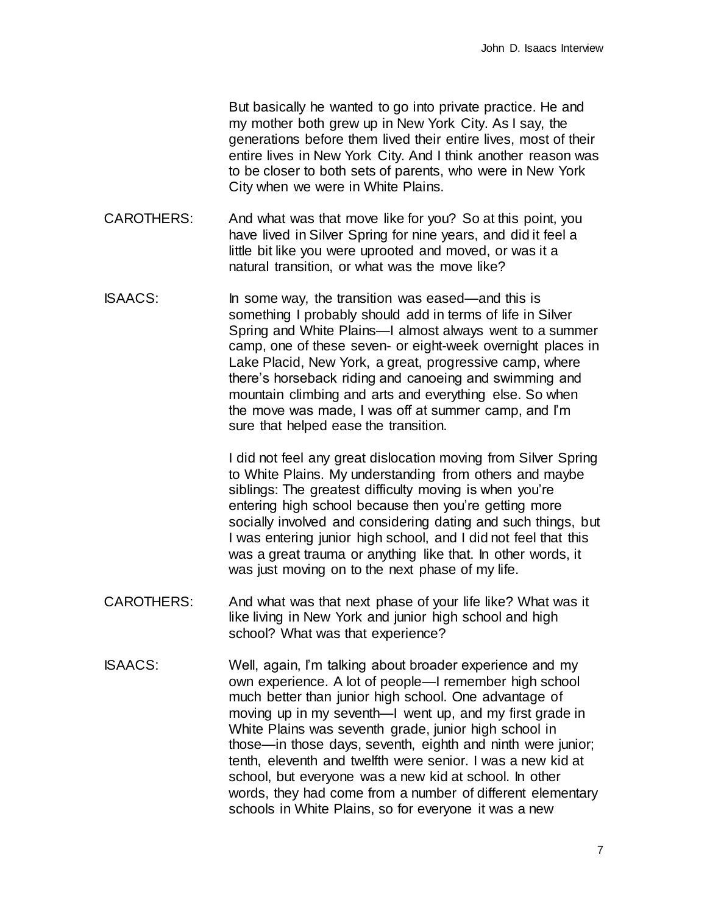But basically he wanted to go into private practice. He and my mother both grew up in New York City. As I say, the generations before them lived their entire lives, most of their entire lives in New York City. And I think another reason was to be closer to both sets of parents, who were in New York City when we were in White Plains.

- CAROTHERS: And what was that move like for you? So at this point, you have lived in Silver Spring for nine years, and did it feel a little bit like you were uprooted and moved, or was it a natural transition, or what was the move like?
- ISAACS: In some way, the transition was eased—and this is something I probably should add in terms of life in Silver Spring and White Plains—I almost always went to a summer camp, one of these seven- or eight-week overnight places in Lake Placid, New York, a great, progressive camp, where there's horseback riding and canoeing and swimming and mountain climbing and arts and everything else. So when the move was made, I was off at summer camp, and I'm sure that helped ease the transition.

I did not feel any great dislocation moving from Silver Spring to White Plains. My understanding from others and maybe siblings: The greatest difficulty moving is when you're entering high school because then you're getting more socially involved and considering dating and such things, but I was entering junior high school, and I did not feel that this was a great trauma or anything like that. In other words, it was just moving on to the next phase of my life.

- CAROTHERS: And what was that next phase of your life like? What was it like living in New York and junior high school and high school? What was that experience?
- ISAACS: Well, again, I'm talking about broader experience and my own experience. A lot of people—I remember high school much better than junior high school. One advantage of moving up in my seventh—I went up, and my first grade in White Plains was seventh grade, junior high school in those—in those days, seventh, eighth and ninth were junior; tenth, eleventh and twelfth were senior. I was a new kid at school, but everyone was a new kid at school. In other words, they had come from a number of different elementary schools in White Plains, so for everyone it was a new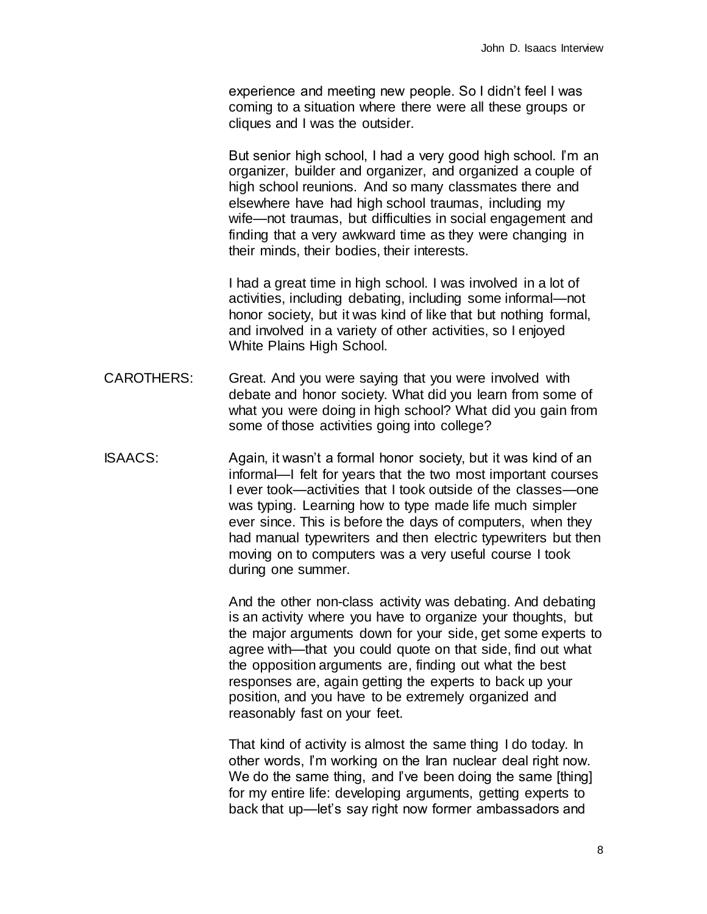experience and meeting new people. So I didn't feel I was coming to a situation where there were all these groups or cliques and I was the outsider.

But senior high school, I had a very good high school. I'm an organizer, builder and organizer, and organized a couple of high school reunions. And so many classmates there and elsewhere have had high school traumas, including my wife—not traumas, but difficulties in social engagement and finding that a very awkward time as they were changing in their minds, their bodies, their interests.

I had a great time in high school. I was involved in a lot of activities, including debating, including some informal—not honor society, but it was kind of like that but nothing formal, and involved in a variety of other activities, so I enjoyed White Plains High School.

- CAROTHERS: Great. And you were saying that you were involved with debate and honor society. What did you learn from some of what you were doing in high school? What did you gain from some of those activities going into college?
- ISAACS: Again, it wasn't a formal honor society, but it was kind of an informal—I felt for years that the two most important courses I ever took—activities that I took outside of the classes—one was typing. Learning how to type made life much simpler ever since. This is before the days of computers, when they had manual typewriters and then electric typewriters but then moving on to computers was a very useful course I took during one summer.

And the other non-class activity was debating. And debating is an activity where you have to organize your thoughts, but the major arguments down for your side, get some experts to agree with—that you could quote on that side, find out what the opposition arguments are, finding out what the best responses are, again getting the experts to back up your position, and you have to be extremely organized and reasonably fast on your feet.

That kind of activity is almost the same thing I do today. In other words, I'm working on the Iran nuclear deal right now. We do the same thing, and I've been doing the same [thing] for my entire life: developing arguments, getting experts to back that up—let's say right now former ambassadors and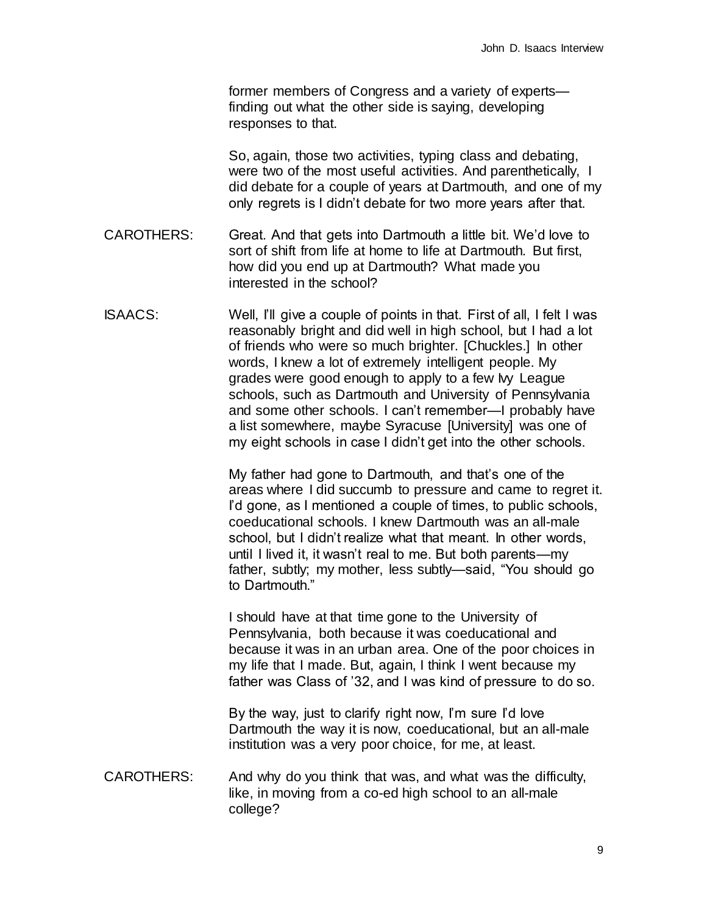former members of Congress and a variety of experts finding out what the other side is saying, developing responses to that.

So, again, those two activities, typing class and debating, were two of the most useful activities. And parenthetically, I did debate for a couple of years at Dartmouth, and one of my only regrets is I didn't debate for two more years after that.

- CAROTHERS: Great. And that gets into Dartmouth a little bit. We'd love to sort of shift from life at home to life at Dartmouth. But first, how did you end up at Dartmouth? What made you interested in the school?
- ISAACS: Well, I'll give a couple of points in that. First of all, I felt I was reasonably bright and did well in high school, but I had a lot of friends who were so much brighter. [Chuckles.] In other words, I knew a lot of extremely intelligent people. My grades were good enough to apply to a few My League schools, such as Dartmouth and University of Pennsylvania and some other schools. I can't remember—I probably have a list somewhere, maybe Syracuse [University] was one of my eight schools in case I didn't get into the other schools.

My father had gone to Dartmouth, and that's one of the areas where I did succumb to pressure and came to regret it. I'd gone, as I mentioned a couple of times, to public schools, coeducational schools. I knew Dartmouth was an all-male school, but I didn't realize what that meant. In other words, until I lived it, it wasn't real to me. But both parents—my father, subtly; my mother, less subtly—said, "You should go to Dartmouth."

I should have at that time gone to the University of Pennsylvania, both because it was coeducational and because it was in an urban area. One of the poor choices in my life that I made. But, again, I think I went because my father was Class of '32, and I was kind of pressure to do so.

By the way, just to clarify right now, I'm sure I'd love Dartmouth the way it is now, coeducational, but an all-male institution was a very poor choice, for me, at least.

CAROTHERS: And why do you think that was, and what was the difficulty, like, in moving from a co-ed high school to an all-male college?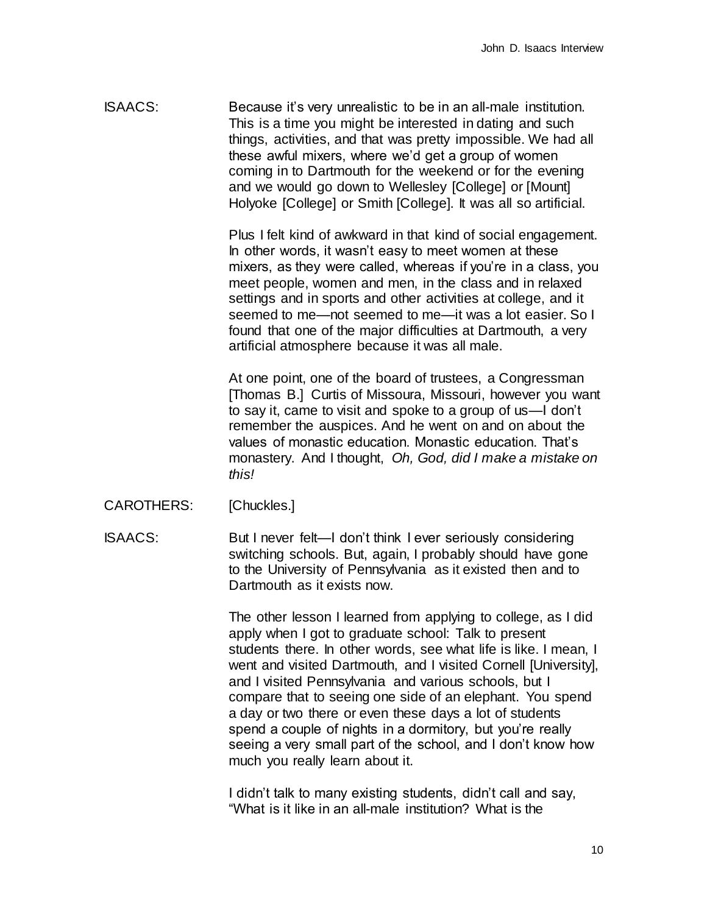ISAACS: Because it's very unrealistic to be in an all-male institution. This is a time you might be interested in dating and such things, activities, and that was pretty impossible. We had all these awful mixers, where we'd get a group of women coming in to Dartmouth for the weekend or for the evening and we would go down to Wellesley [College] or [Mount] Holyoke [College] or Smith [College]. It was all so artificial.

> Plus I felt kind of awkward in that kind of social engagement. In other words, it wasn't easy to meet women at these mixers, as they were called, whereas if you're in a class, you meet people, women and men, in the class and in relaxed settings and in sports and other activities at college, and it seemed to me—not seemed to me—it was a lot easier. So I found that one of the major difficulties at Dartmouth, a very artificial atmosphere because it was all male.

> At one point, one of the board of trustees, a Congressman [Thomas B.] Curtis of Missoura, Missouri, however you want to say it, came to visit and spoke to a group of us—I don't remember the auspices. And he went on and on about the values of monastic education. Monastic education. That's monastery. And I thought, *Oh, God, did I make a mistake on this!*

- CAROTHERS: [Chuckles.]
- ISAACS: But I never felt—I don't think I ever seriously considering switching schools. But, again, I probably should have gone to the University of Pennsylvania as it existed then and to Dartmouth as it exists now.

The other lesson I learned from applying to college, as I did apply when I got to graduate school: Talk to present students there. In other words, see what life is like. I mean, I went and visited Dartmouth, and I visited Cornell [University], and I visited Pennsylvania and various schools, but I compare that to seeing one side of an elephant. You spend a day or two there or even these days a lot of students spend a couple of nights in a dormitory, but you're really seeing a very small part of the school, and I don't know how much you really learn about it.

I didn't talk to many existing students, didn't call and say, "What is it like in an all-male institution? What is the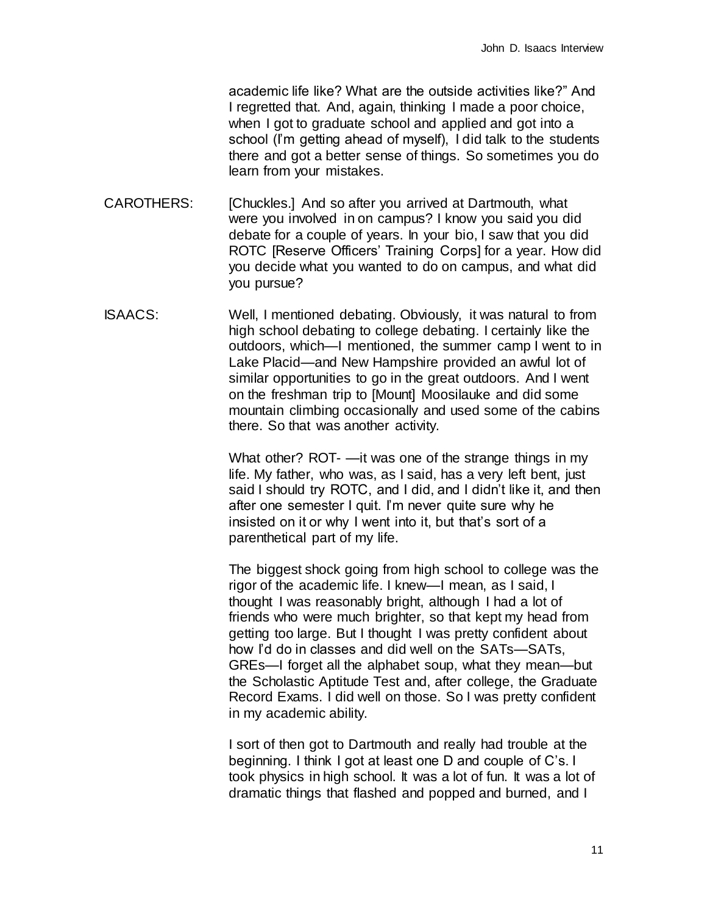academic life like? What are the outside activities like?" And I regretted that. And, again, thinking I made a poor choice, when I got to graduate school and applied and got into a school (I'm getting ahead of myself), I did talk to the students there and got a better sense of things. So sometimes you do learn from your mistakes.

- CAROTHERS: [Chuckles.] And so after you arrived at Dartmouth, what were you involved in on campus? I know you said you did debate for a couple of years. In your bio, I saw that you did ROTC [Reserve Officers' Training Corps] for a year. How did you decide what you wanted to do on campus, and what did you pursue?
- ISAACS: Well, I mentioned debating. Obviously, it was natural to from high school debating to college debating. I certainly like the outdoors, which—I mentioned, the summer camp I went to in Lake Placid—and New Hampshire provided an awful lot of similar opportunities to go in the great outdoors. And I went on the freshman trip to [Mount] Moosilauke and did some mountain climbing occasionally and used some of the cabins there. So that was another activity.

What other? ROT- —it was one of the strange things in my life. My father, who was, as I said, has a very left bent, just said I should try ROTC, and I did, and I didn't like it, and then after one semester I quit. I'm never quite sure why he insisted on it or why I went into it, but that's sort of a parenthetical part of my life.

The biggest shock going from high school to college was the rigor of the academic life. I knew—I mean, as I said, I thought I was reasonably bright, although I had a lot of friends who were much brighter, so that kept my head from getting too large. But I thought I was pretty confident about how I'd do in classes and did well on the SATs—SATs, GREs—I forget all the alphabet soup, what they mean—but the Scholastic Aptitude Test and, after college, the Graduate Record Exams. I did well on those. So I was pretty confident in my academic ability.

I sort of then got to Dartmouth and really had trouble at the beginning. I think I got at least one D and couple of C's. I took physics in high school. It was a lot of fun. It was a lot of dramatic things that flashed and popped and burned, and I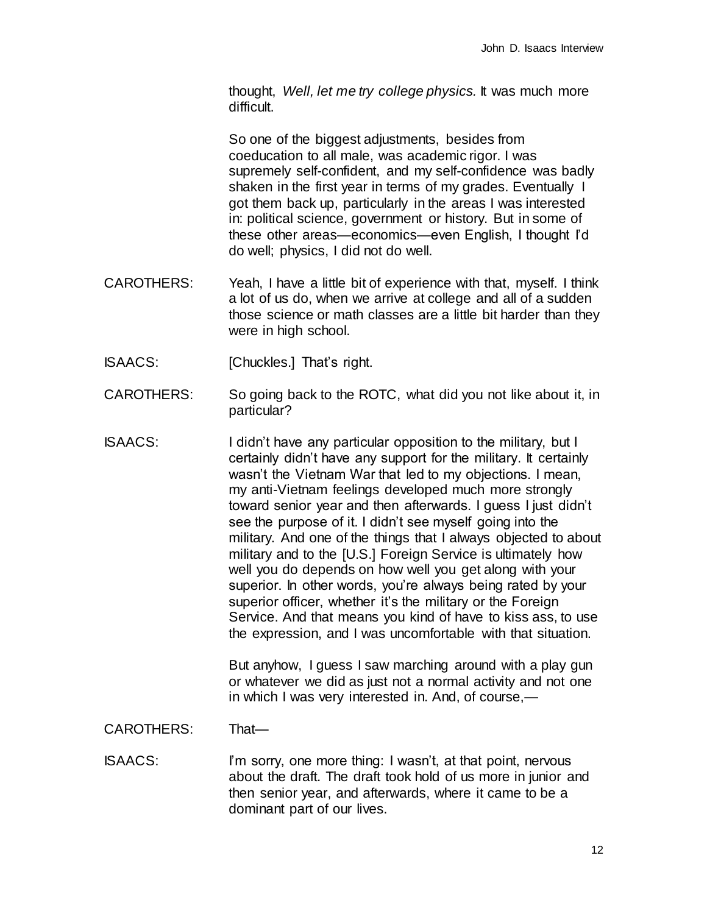thought, *Well, let me try college physics.* It was much more difficult.

So one of the biggest adjustments, besides from coeducation to all male, was academic rigor. I was supremely self-confident, and my self-confidence was badly shaken in the first year in terms of my grades. Eventually I got them back up, particularly in the areas I was interested in: political science, government or history. But in some of these other areas—economics—even English, I thought I'd do well; physics, I did not do well.

- CAROTHERS: Yeah, I have a little bit of experience with that, myself. I think a lot of us do, when we arrive at college and all of a sudden those science or math classes are a little bit harder than they were in high school.
- ISAACS: [Chuckles.] That's right.
- CAROTHERS: So going back to the ROTC, what did you not like about it, in particular?
- ISAACS: I didn't have any particular opposition to the military, but I certainly didn't have any support for the military. It certainly wasn't the Vietnam War that led to my objections. I mean, my anti-Vietnam feelings developed much more strongly toward senior year and then afterwards. I guess I just didn't see the purpose of it. I didn't see myself going into the military. And one of the things that I always objected to about military and to the [U.S.] Foreign Service is ultimately how well you do depends on how well you get along with your superior. In other words, you're always being rated by your superior officer, whether it's the military or the Foreign Service. And that means you kind of have to kiss ass, to use the expression, and I was uncomfortable with that situation.

But anyhow, I guess I saw marching around with a play gun or whatever we did as just not a normal activity and not one in which I was very interested in. And, of course,—

## CAROTHERS: That—

ISAACS: I'm sorry, one more thing: I wasn't, at that point, nervous about the draft. The draft took hold of us more in junior and then senior year, and afterwards, where it came to be a dominant part of our lives.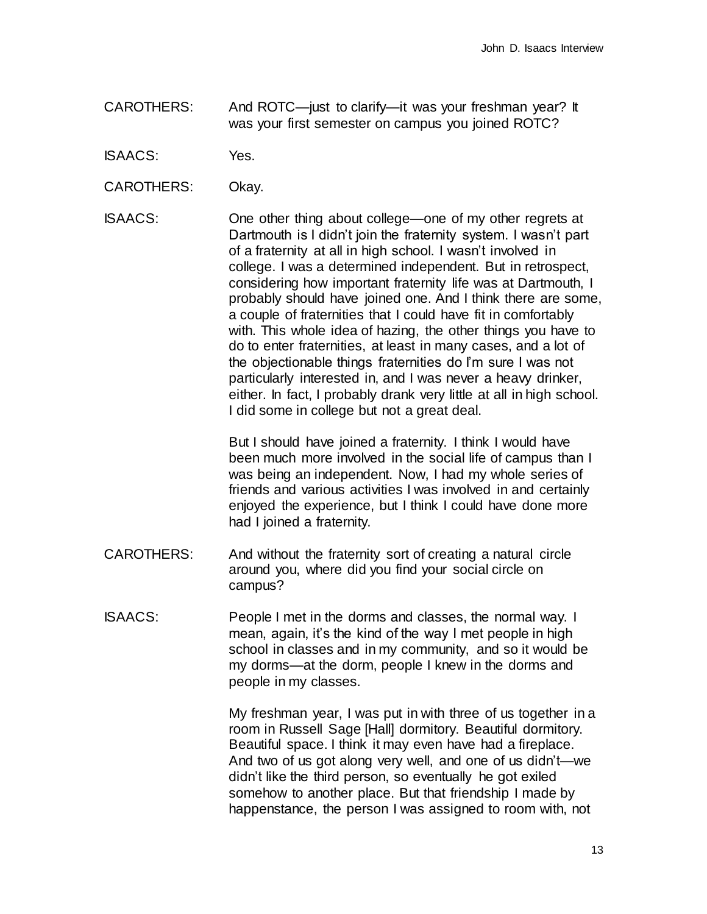- CAROTHERS: And ROTC—just to clarify—it was your freshman year? It was your first semester on campus you joined ROTC?
- ISAACS: Yes.
- CAROTHERS: Okay.
- ISAACS: One other thing about college—one of my other regrets at Dartmouth is I didn't join the fraternity system. I wasn't part of a fraternity at all in high school. I wasn't involved in college. I was a determined independent. But in retrospect, considering how important fraternity life was at Dartmouth, I probably should have joined one. And I think there are some, a couple of fraternities that I could have fit in comfortably with. This whole idea of hazing, the other things you have to do to enter fraternities, at least in many cases, and a lot of the objectionable things fraternities do I'm sure I was not particularly interested in, and I was never a heavy drinker, either. In fact, I probably drank very little at all in high school. I did some in college but not a great deal.

But I should have joined a fraternity. I think I would have been much more involved in the social life of campus than I was being an independent. Now, I had my whole series of friends and various activities I was involved in and certainly enjoyed the experience, but I think I could have done more had I joined a fraternity.

- CAROTHERS: And without the fraternity sort of creating a natural circle around you, where did you find your social circle on campus?
- ISAACS: People I met in the dorms and classes, the normal way. I mean, again, it's the kind of the way I met people in high school in classes and in my community, and so it would be my dorms—at the dorm, people I knew in the dorms and people in my classes.

My freshman year, I was put in with three of us together in a room in Russell Sage [Hall] dormitory. Beautiful dormitory. Beautiful space. I think it may even have had a fireplace. And two of us got along very well, and one of us didn't—we didn't like the third person, so eventually he got exiled somehow to another place. But that friendship I made by happenstance, the person I was assigned to room with, not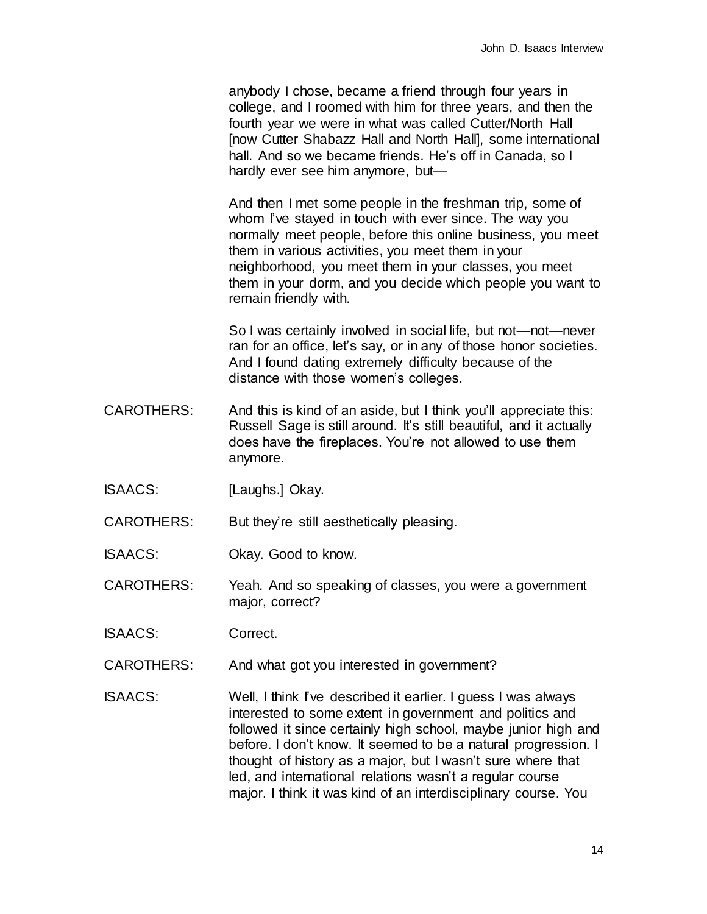anybody I chose, became a friend through four years in college, and I roomed with him for three years, and then the fourth year we were in what was called Cutter/North Hall [now Cutter Shabazz Hall and North Hall], some international hall. And so we became friends. He's off in Canada, so I hardly ever see him anymore, but—

And then I met some people in the freshman trip, some of whom I've stayed in touch with ever since. The way you normally meet people, before this online business, you meet them in various activities, you meet them in your neighborhood, you meet them in your classes, you meet them in your dorm, and you decide which people you want to remain friendly with.

So I was certainly involved in social life, but not—not—never ran for an office, let's say, or in any of those honor societies. And I found dating extremely difficulty because of the distance with those women's colleges.

- CAROTHERS: And this is kind of an aside, but I think you'll appreciate this: Russell Sage is still around. It's still beautiful, and it actually does have the fireplaces. You're not allowed to use them anymore.
- ISAACS: [Laughs.] Okay.
- CAROTHERS: But they're still aesthetically pleasing.
- ISAACS: Okay. Good to know.

CAROTHERS: Yeah. And so speaking of classes, you were a government major, correct?

- ISAACS: Correct.
- CAROTHERS: And what got you interested in government?
- ISAACS: Well, I think I've described it earlier. I guess I was always interested to some extent in government and politics and followed it since certainly high school, maybe junior high and before. I don't know. It seemed to be a natural progression. I thought of history as a major, but I wasn't sure where that led, and international relations wasn't a regular course major. I think it was kind of an interdisciplinary course. You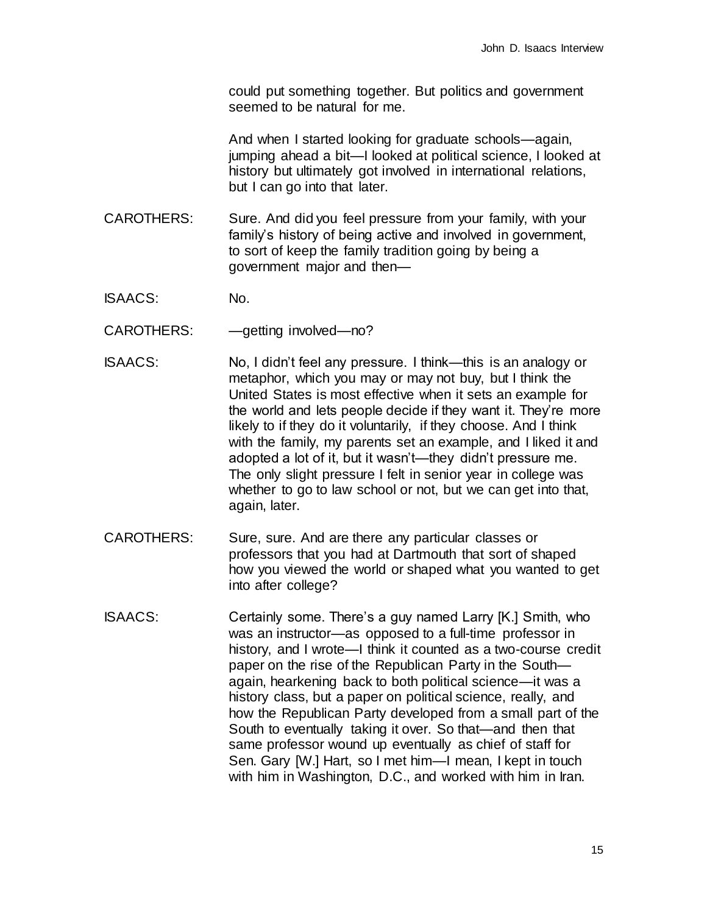could put something together. But politics and government seemed to be natural for me.

And when I started looking for graduate schools—again, jumping ahead a bit—I looked at political science, I looked at history but ultimately got involved in international relations, but I can go into that later.

- CAROTHERS: Sure. And did you feel pressure from your family, with your family's history of being active and involved in government, to sort of keep the family tradition going by being a government major and then—
- ISAACS: No.
- CAROTHERS: qetting involved—no?
- ISAACS: No, I didn't feel any pressure. I think—this is an analogy or metaphor, which you may or may not buy, but I think the United States is most effective when it sets an example for the world and lets people decide if they want it. They're more likely to if they do it voluntarily, if they choose. And I think with the family, my parents set an example, and I liked it and adopted a lot of it, but it wasn't—they didn't pressure me. The only slight pressure I felt in senior year in college was whether to go to law school or not, but we can get into that, again, later.
- CAROTHERS: Sure, sure. And are there any particular classes or professors that you had at Dartmouth that sort of shaped how you viewed the world or shaped what you wanted to get into after college?
- ISAACS: Certainly some. There's a guy named Larry [K.] Smith, who was an instructor—as opposed to a full-time professor in history, and I wrote—I think it counted as a two-course credit paper on the rise of the Republican Party in the South again, hearkening back to both political science—it was a history class, but a paper on political science, really, and how the Republican Party developed from a small part of the South to eventually taking it over. So that—and then that same professor wound up eventually as chief of staff for Sen. Gary [W.] Hart, so I met him—I mean, I kept in touch with him in Washington, D.C., and worked with him in Iran.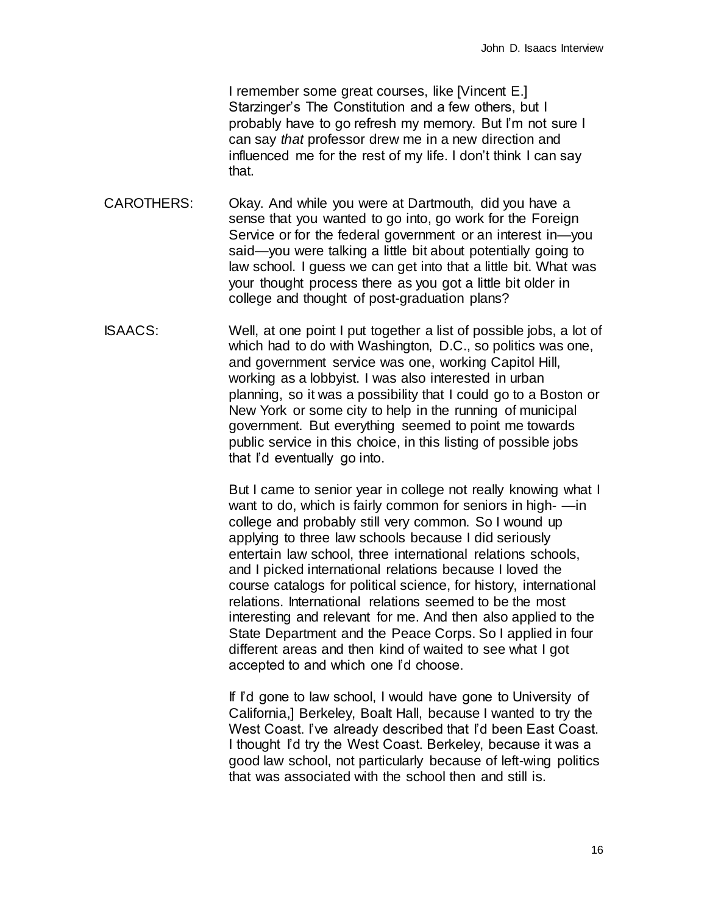I remember some great courses, like [Vincent E.] Starzinger's The Constitution and a few others, but I probably have to go refresh my memory. But I'm not sure I can say *that* professor drew me in a new direction and influenced me for the rest of my life. I don't think I can say that.

- CAROTHERS: Okay. And while you were at Dartmouth, did you have a sense that you wanted to go into, go work for the Foreign Service or for the federal government or an interest in—you said—you were talking a little bit about potentially going to law school. I guess we can get into that a little bit. What was your thought process there as you got a little bit older in college and thought of post-graduation plans?
- ISAACS: Well, at one point I put together a list of possible jobs, a lot of which had to do with Washington, D.C., so politics was one, and government service was one, working Capitol Hill, working as a lobbyist. I was also interested in urban planning, so it was a possibility that I could go to a Boston or New York or some city to help in the running of municipal government. But everything seemed to point me towards public service in this choice, in this listing of possible jobs that I'd eventually go into.

But I came to senior year in college not really knowing what I want to do, which is fairly common for seniors in high- —in college and probably still very common. So I wound up applying to three law schools because I did seriously entertain law school, three international relations schools, and I picked international relations because I loved the course catalogs for political science, for history, international relations. International relations seemed to be the most interesting and relevant for me. And then also applied to the State Department and the Peace Corps. So I applied in four different areas and then kind of waited to see what I got accepted to and which one I'd choose.

If I'd gone to law school, I would have gone to University of California,] Berkeley, Boalt Hall, because I wanted to try the West Coast. I've already described that I'd been East Coast. I thought I'd try the West Coast. Berkeley, because it was a good law school, not particularly because of left-wing politics that was associated with the school then and still is.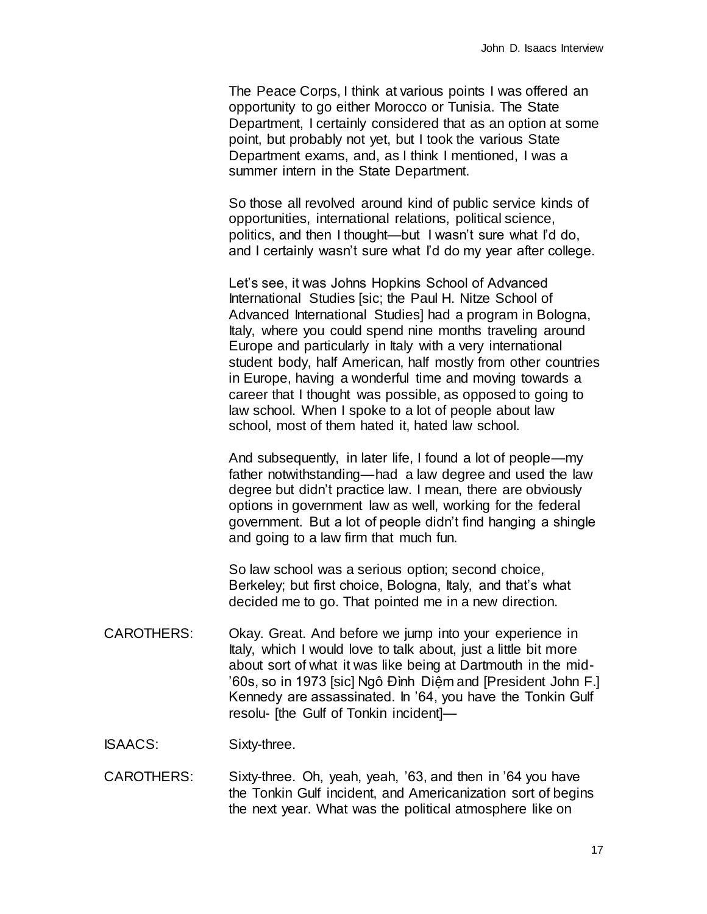The Peace Corps, I think at various points I was offered an opportunity to go either Morocco or Tunisia. The State Department, I certainly considered that as an option at some point, but probably not yet, but I took the various State Department exams, and, as I think I mentioned, I was a summer intern in the State Department.

So those all revolved around kind of public service kinds of opportunities, international relations, political science, politics, and then I thought—but I wasn't sure what I'd do, and I certainly wasn't sure what I'd do my year after college.

Let's see, it was Johns Hopkins School of Advanced International Studies [sic; the Paul H. Nitze School of Advanced International Studies] had a program in Bologna, Italy, where you could spend nine months traveling around Europe and particularly in Italy with a very international student body, half American, half mostly from other countries in Europe, having a wonderful time and moving towards a career that I thought was possible, as opposed to going to law school. When I spoke to a lot of people about law school, most of them hated it, hated law school.

And subsequently, in later life, I found a lot of people—my father notwithstanding—had a law degree and used the law degree but didn't practice law. I mean, there are obviously options in government law as well, working for the federal government. But a lot of people didn't find hanging a shingle and going to a law firm that much fun.

So law school was a serious option; second choice, Berkeley; but first choice, Bologna, Italy, and that's what decided me to go. That pointed me in a new direction.

CAROTHERS: Okay. Great. And before we jump into your experience in Italy, which I would love to talk about, just a little bit more about sort of what it was like being at Dartmouth in the mid- '60s, so in 1973 [sic] Ngô Đình Diệm and [President John F.] Kennedy are assassinated. In '64, you have the Tonkin Gulf resolu- [the Gulf of Tonkin incident]—

ISAACS: Sixty-three.

CAROTHERS: Sixty-three. Oh, yeah, yeah, '63, and then in '64 you have the Tonkin Gulf incident, and Americanization sort of begins the next year. What was the political atmosphere like on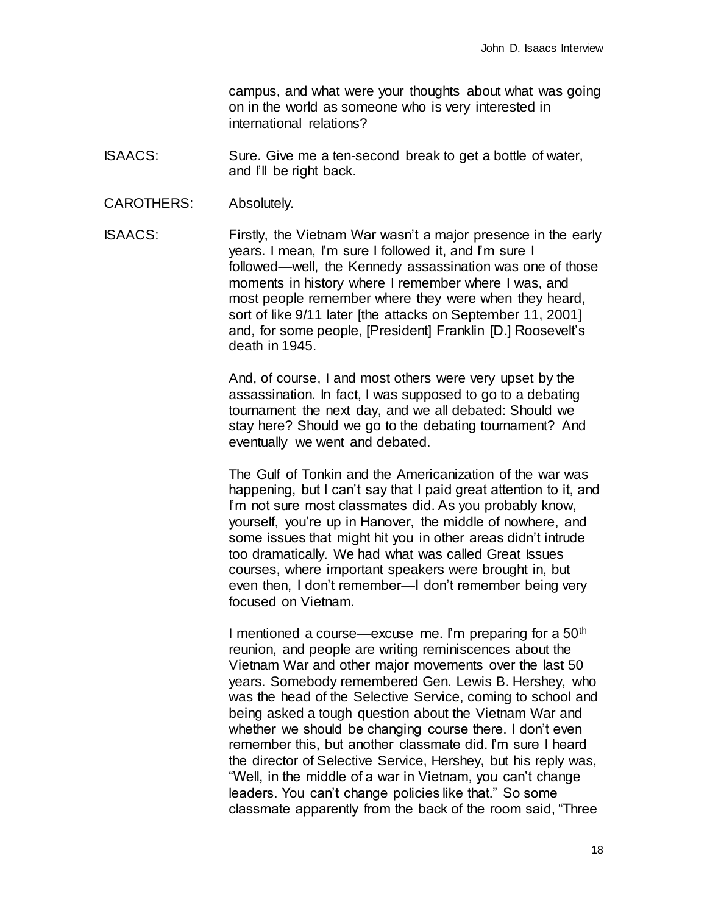campus, and what were your thoughts about what was going on in the world as someone who is very interested in international relations?

- ISAACS: Sure. Give me a ten-second break to get a bottle of water, and I'll be right back.
- CAROTHERS: Absolutely.

ISAACS: Firstly, the Vietnam War wasn't a major presence in the early years. I mean, I'm sure I followed it, and I'm sure I followed—well, the Kennedy assassination was one of those moments in history where I remember where I was, and most people remember where they were when they heard, sort of like 9/11 later [the attacks on September 11, 2001] and, for some people, [President] Franklin [D.] Roosevelt's death in 1945.

> And, of course, I and most others were very upset by the assassination. In fact, I was supposed to go to a debating tournament the next day, and we all debated: Should we stay here? Should we go to the debating tournament? And eventually we went and debated.

The Gulf of Tonkin and the Americanization of the war was happening, but I can't say that I paid great attention to it, and I'm not sure most classmates did. As you probably know, yourself, you're up in Hanover, the middle of nowhere, and some issues that might hit you in other areas didn't intrude too dramatically. We had what was called Great Issues courses, where important speakers were brought in, but even then, I don't remember—I don't remember being very focused on Vietnam.

I mentioned a course—excuse me. I'm preparing for a  $50<sup>th</sup>$ reunion, and people are writing reminiscences about the Vietnam War and other major movements over the last 50 years. Somebody remembered Gen. Lewis B. Hershey, who was the head of the Selective Service, coming to school and being asked a tough question about the Vietnam War and whether we should be changing course there. I don't even remember this, but another classmate did. I'm sure I heard the director of Selective Service, Hershey, but his reply was, "Well, in the middle of a war in Vietnam, you can't change leaders. You can't change policies like that." So some classmate apparently from the back of the room said, "Three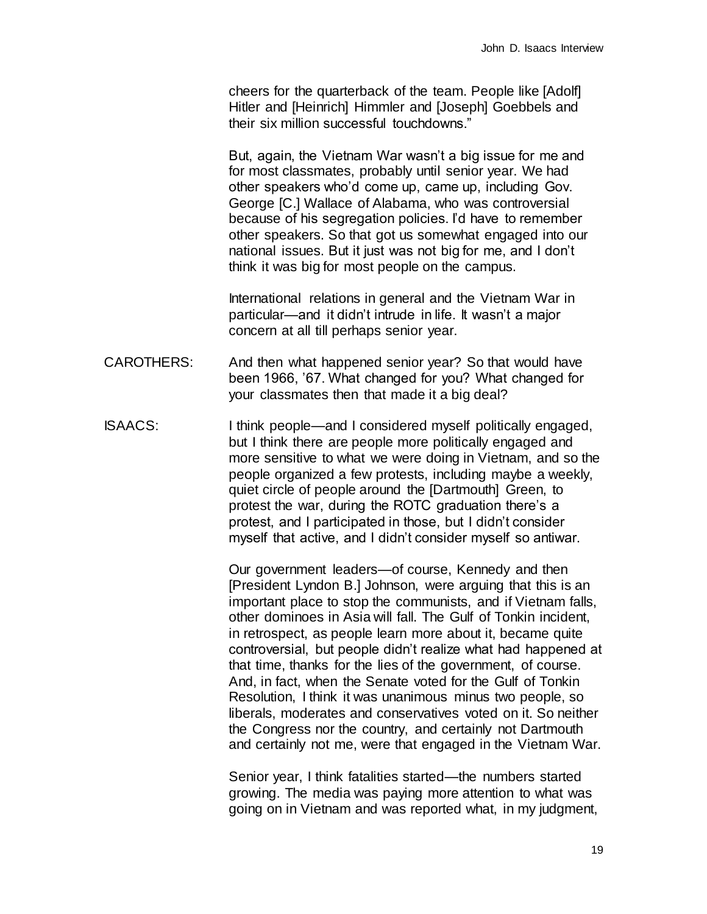cheers for the quarterback of the team. People like [Adolf] Hitler and [Heinrich] Himmler and [Joseph] Goebbels and their six million successful touchdowns."

But, again, the Vietnam War wasn't a big issue for me and for most classmates, probably until senior year. We had other speakers who'd come up, came up, including Gov. George [C.] Wallace of Alabama, who was controversial because of his segregation policies. I'd have to remember other speakers. So that got us somewhat engaged into our national issues. But it just was not big for me, and I don't think it was big for most people on the campus.

International relations in general and the Vietnam War in particular—and it didn't intrude in life. It wasn't a major concern at all till perhaps senior year.

- CAROTHERS: And then what happened senior year? So that would have been 1966, '67. What changed for you? What changed for your classmates then that made it a big deal?
- ISAACS: I think people—and I considered myself politically engaged, but I think there are people more politically engaged and more sensitive to what we were doing in Vietnam, and so the people organized a few protests, including maybe a weekly, quiet circle of people around the [Dartmouth] Green, to protest the war, during the ROTC graduation there's a protest, and I participated in those, but I didn't consider myself that active, and I didn't consider myself so antiwar.

Our government leaders—of course, Kennedy and then [President Lyndon B.] Johnson, were arguing that this is an important place to stop the communists, and if Vietnam falls, other dominoes in Asia will fall. The Gulf of Tonkin incident, in retrospect, as people learn more about it, became quite controversial, but people didn't realize what had happened at that time, thanks for the lies of the government, of course. And, in fact, when the Senate voted for the Gulf of Tonkin Resolution, I think it was unanimous minus two people, so liberals, moderates and conservatives voted on it. So neither the Congress nor the country, and certainly not Dartmouth and certainly not me, were that engaged in the Vietnam War.

Senior year, I think fatalities started—the numbers started growing. The media was paying more attention to what was going on in Vietnam and was reported what, in my judgment,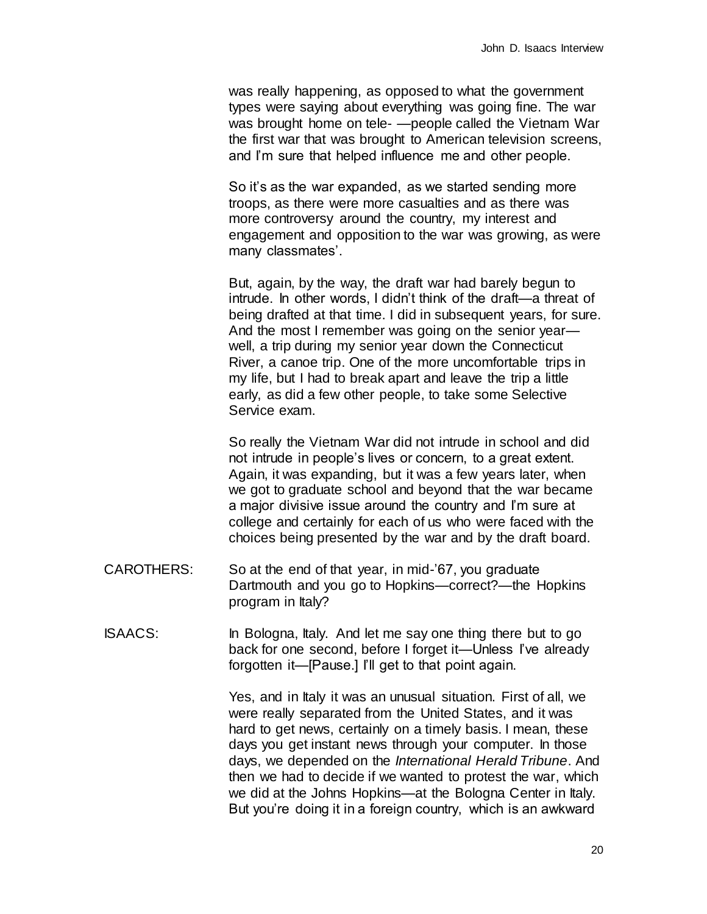was really happening, as opposed to what the government types were saying about everything was going fine. The war was brought home on tele- —people called the Vietnam War the first war that was brought to American television screens, and I'm sure that helped influence me and other people.

So it's as the war expanded, as we started sending more troops, as there were more casualties and as there was more controversy around the country, my interest and engagement and opposition to the war was growing, as were many classmates'.

But, again, by the way, the draft war had barely begun to intrude. In other words, I didn't think of the draft—a threat of being drafted at that time. I did in subsequent years, for sure. And the most I remember was going on the senior year well, a trip during my senior year down the Connecticut River, a canoe trip. One of the more uncomfortable trips in my life, but I had to break apart and leave the trip a little early, as did a few other people, to take some Selective Service exam.

So really the Vietnam War did not intrude in school and did not intrude in people's lives or concern, to a great extent. Again, it was expanding, but it was a few years later, when we got to graduate school and beyond that the war became a major divisive issue around the country and I'm sure at college and certainly for each of us who were faced with the choices being presented by the war and by the draft board.

- CAROTHERS: So at the end of that year, in mid-'67, you graduate Dartmouth and you go to Hopkins—correct?—the Hopkins program in Italy?
- ISAACS: In Bologna, Italy. And let me say one thing there but to go back for one second, before I forget it—Unless I've already forgotten it—[Pause.] I'll get to that point again.

Yes, and in Italy it was an unusual situation. First of all, we were really separated from the United States, and it was hard to get news, certainly on a timely basis. I mean, these days you get instant news through your computer. In those days, we depended on the *International Herald Tribune*. And then we had to decide if we wanted to protest the war, which we did at the Johns Hopkins—at the Bologna Center in Italy. But you're doing it in a foreign country, which is an awkward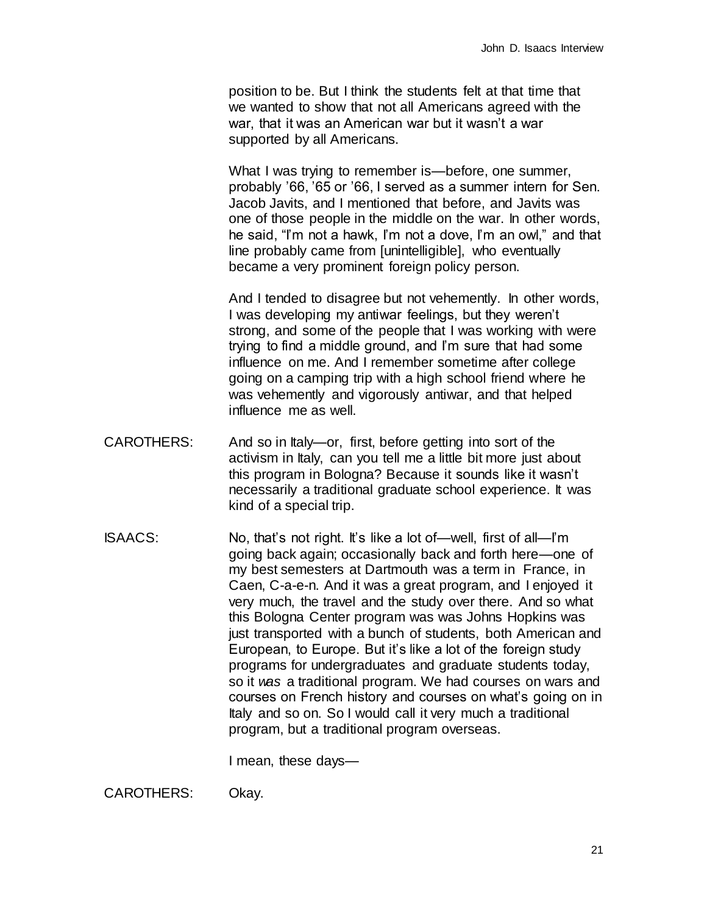position to be. But I think the students felt at that time that we wanted to show that not all Americans agreed with the war, that it was an American war but it wasn't a war supported by all Americans.

What I was trying to remember is—before, one summer, probably '66, '65 or '66, I served as a summer intern for Sen. Jacob Javits, and I mentioned that before, and Javits was one of those people in the middle on the war. In other words, he said, "I'm not a hawk, I'm not a dove, I'm an owl," and that line probably came from [unintelligible], who eventually became a very prominent foreign policy person.

And I tended to disagree but not vehemently. In other words, I was developing my antiwar feelings, but they weren't strong, and some of the people that I was working with were trying to find a middle ground, and I'm sure that had some influence on me. And I remember sometime after college going on a camping trip with a high school friend where he was vehemently and vigorously antiwar, and that helped influence me as well.

- CAROTHERS: And so in Italy—or, first, before getting into sort of the activism in Italy, can you tell me a little bit more just about this program in Bologna? Because it sounds like it wasn't necessarily a traditional graduate school experience. It was kind of a special trip.
- ISAACS: No, that's not right. It's like a lot of—well, first of all—I'm going back again; occasionally back and forth here—one of my best semesters at Dartmouth was a term in France, in Caen, C-a-e-n. And it was a great program, and I enjoyed it very much, the travel and the study over there. And so what this Bologna Center program was was Johns Hopkins was just transported with a bunch of students, both American and European, to Europe. But it's like a lot of the foreign study programs for undergraduates and graduate students today, so it *was* a traditional program. We had courses on wars and courses on French history and courses on what's going on in Italy and so on. So I would call it very much a traditional program, but a traditional program overseas.

I mean, these days—

CAROTHERS: Okay.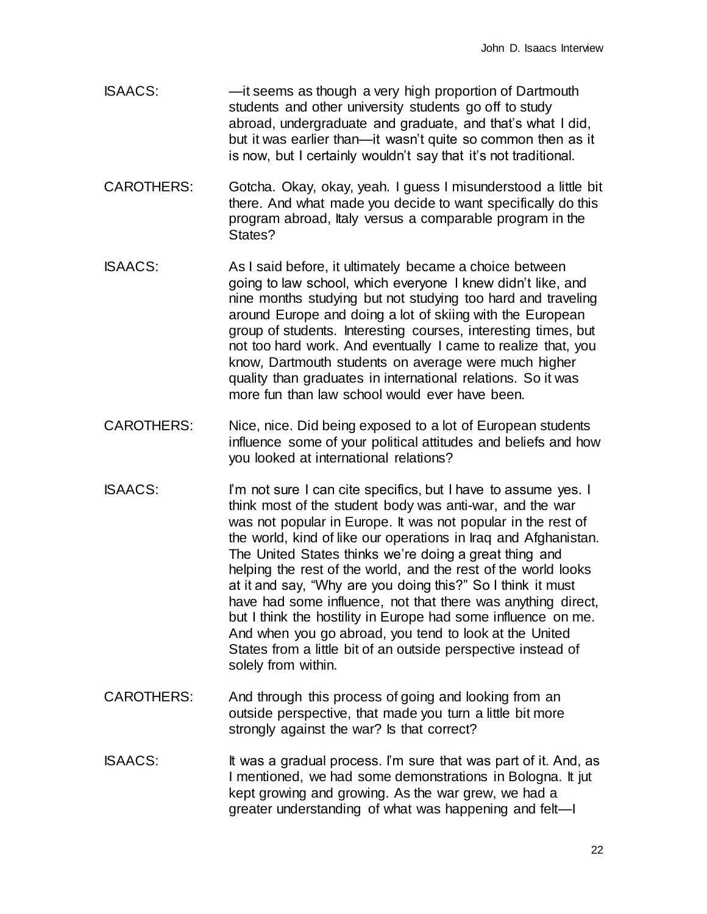- ISAACS: —it seems as though a very high proportion of Dartmouth students and other university students go off to study abroad, undergraduate and graduate, and that's what I did, but it was earlier than—it wasn't quite so common then as it is now, but I certainly wouldn't say that it's not traditional.
- CAROTHERS: Gotcha. Okay, okay, yeah. I guess I misunderstood a little bit there. And what made you decide to want specifically do this program abroad, Italy versus a comparable program in the States?
- ISAACS: As I said before, it ultimately became a choice between going to law school, which everyone I knew didn't like, and nine months studying but not studying too hard and traveling around Europe and doing a lot of skiing with the European group of students. Interesting courses, interesting times, but not too hard work. And eventually I came to realize that, you know, Dartmouth students on average were much higher quality than graduates in international relations. So it was more fun than law school would ever have been.
- CAROTHERS: Nice, nice. Did being exposed to a lot of European students influence some of your political attitudes and beliefs and how you looked at international relations?
- ISAACS: I'm not sure I can cite specifics, but I have to assume yes. I think most of the student body was anti-war, and the war was not popular in Europe. It was not popular in the rest of the world, kind of like our operations in Iraq and Afghanistan. The United States thinks we're doing a great thing and helping the rest of the world, and the rest of the world looks at it and say, "Why are you doing this?" So I think it must have had some influence, not that there was anything direct, but I think the hostility in Europe had some influence on me. And when you go abroad, you tend to look at the United States from a little bit of an outside perspective instead of solely from within.
- CAROTHERS: And through this process of going and looking from an outside perspective, that made you turn a little bit more strongly against the war? Is that correct?
- ISAACS: It was a gradual process. I'm sure that was part of it. And, as I mentioned, we had some demonstrations in Bologna. It jut kept growing and growing. As the war grew, we had a greater understanding of what was happening and felt—I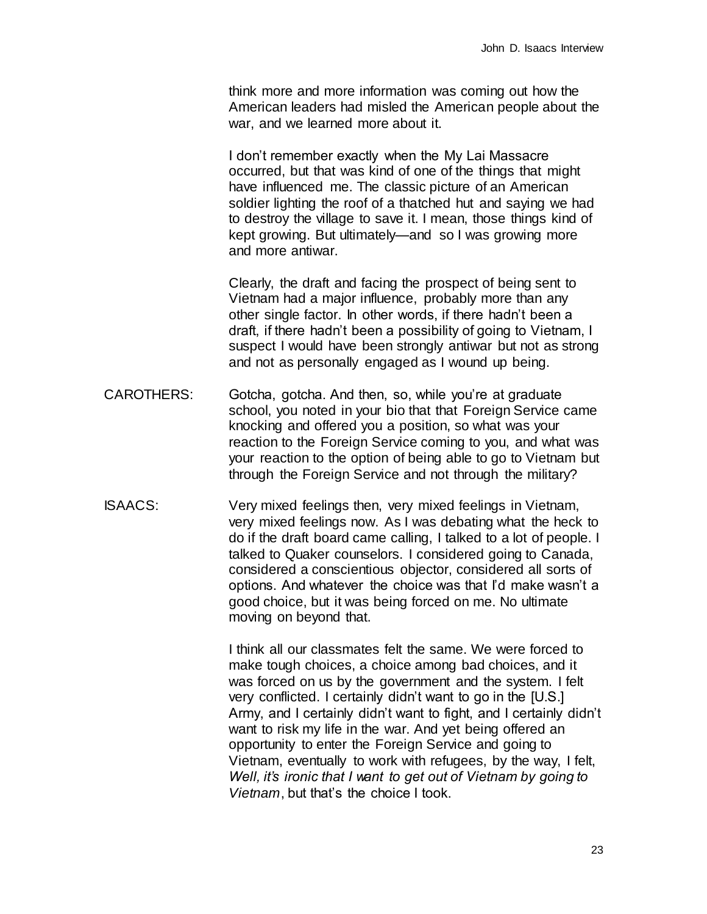think more and more information was coming out how the American leaders had misled the American people about the war, and we learned more about it.

I don't remember exactly when the My Lai Massacre occurred, but that was kind of one of the things that might have influenced me. The classic picture of an American soldier lighting the roof of a thatched hut and saying we had to destroy the village to save it. I mean, those things kind of kept growing. But ultimately—and so I was growing more and more antiwar.

Clearly, the draft and facing the prospect of being sent to Vietnam had a major influence, probably more than any other single factor. In other words, if there hadn't been a draft, if there hadn't been a possibility of going to Vietnam, I suspect I would have been strongly antiwar but not as strong and not as personally engaged as I wound up being.

- CAROTHERS: Gotcha, gotcha. And then, so, while you're at graduate school, you noted in your bio that that Foreign Service came knocking and offered you a position, so what was your reaction to the Foreign Service coming to you, and what was your reaction to the option of being able to go to Vietnam but through the Foreign Service and not through the military?
- ISAACS: Very mixed feelings then, very mixed feelings in Vietnam, very mixed feelings now. As I was debating what the heck to do if the draft board came calling, I talked to a lot of people. I talked to Quaker counselors. I considered going to Canada, considered a conscientious objector, considered all sorts of options. And whatever the choice was that I'd make wasn't a good choice, but it was being forced on me. No ultimate moving on beyond that.

I think all our classmates felt the same. We were forced to make tough choices, a choice among bad choices, and it was forced on us by the government and the system. I felt very conflicted. I certainly didn't want to go in the [U.S.] Army, and I certainly didn't want to fight, and I certainly didn't want to risk my life in the war. And yet being offered an opportunity to enter the Foreign Service and going to Vietnam, eventually to work with refugees, by the way, I felt, *Well, it's ironic that I want to get out of Vietnam by going to Vietnam*, but that's the choice I took.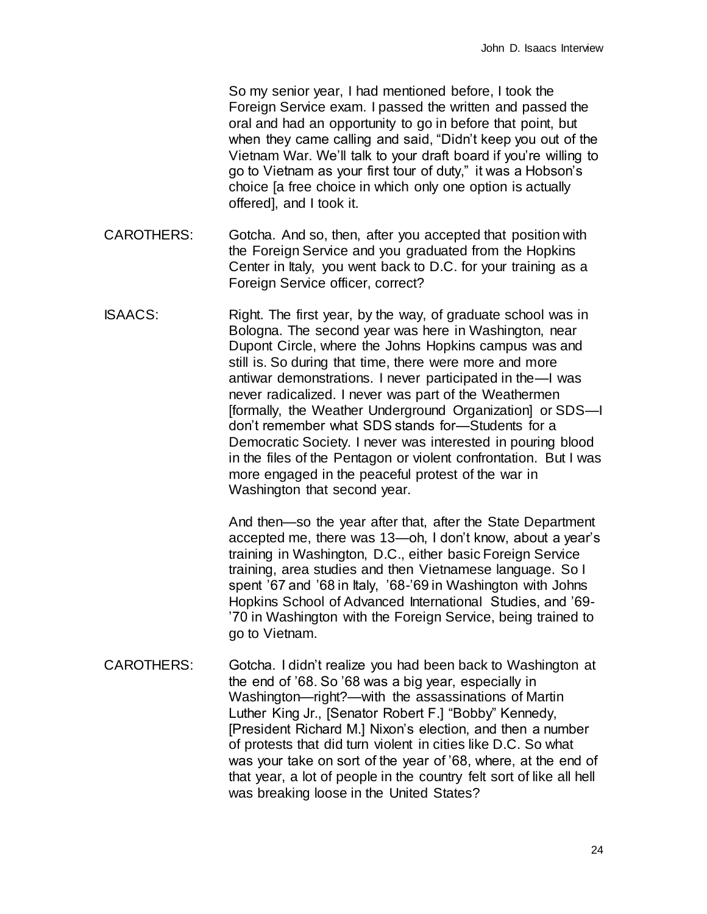So my senior year, I had mentioned before, I took the Foreign Service exam. I passed the written and passed the oral and had an opportunity to go in before that point, but when they came calling and said, "Didn't keep you out of the Vietnam War. We'll talk to your draft board if you're willing to go to Vietnam as your first tour of duty," it was a Hobson's choice [a free choice in which only one option is actually offered], and I took it.

- CAROTHERS: Gotcha. And so, then, after you accepted that position with the Foreign Service and you graduated from the Hopkins Center in Italy, you went back to D.C. for your training as a Foreign Service officer, correct?
- ISAACS: Right. The first year, by the way, of graduate school was in Bologna. The second year was here in Washington, near Dupont Circle, where the Johns Hopkins campus was and still is. So during that time, there were more and more antiwar demonstrations. I never participated in the—I was never radicalized. I never was part of the Weathermen [formally, the Weather Underground Organization] or SDS—I don't remember what SDS stands for—Students for a Democratic Society. I never was interested in pouring blood in the files of the Pentagon or violent confrontation. But I was more engaged in the peaceful protest of the war in Washington that second year.

And then—so the year after that, after the State Department accepted me, there was 13—oh, I don't know, about a year's training in Washington, D.C., either basic Foreign Service training, area studies and then Vietnamese language. So I spent '67 and '68 in Italy, '68-'69 in Washington with Johns Hopkins School of Advanced International Studies, and '69- '70 in Washington with the Foreign Service, being trained to go to Vietnam.

CAROTHERS: Gotcha. I didn't realize you had been back to Washington at the end of '68. So '68 was a big year, especially in Washington—right?—with the assassinations of Martin Luther King Jr., [Senator Robert F.] "Bobby" Kennedy, [President Richard M.] Nixon's election, and then a number of protests that did turn violent in cities like D.C. So what was your take on sort of the year of '68, where, at the end of that year, a lot of people in the country felt sort of like all hell was breaking loose in the United States?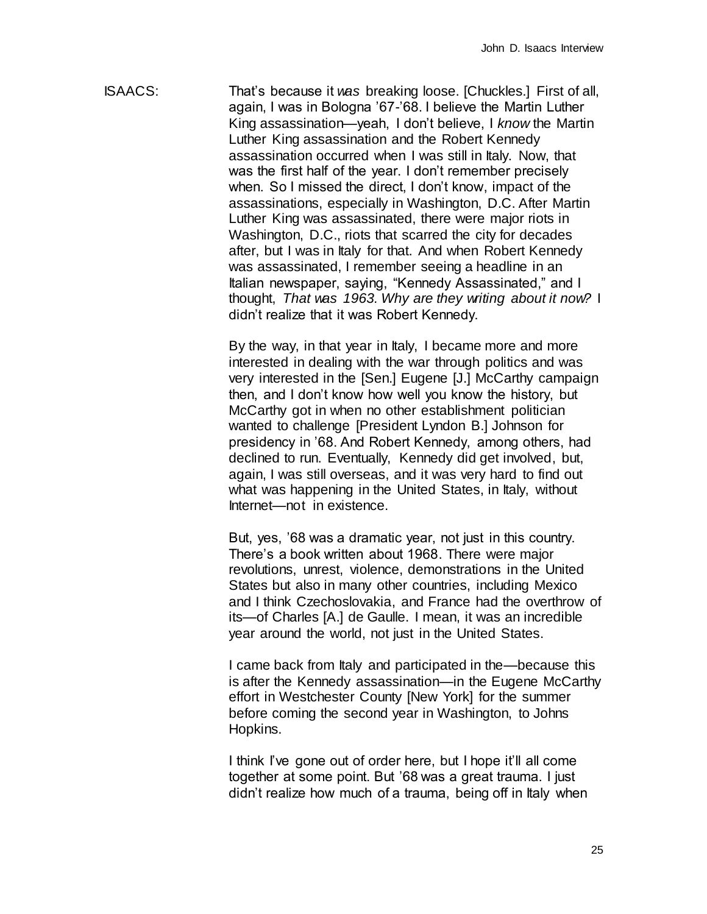ISAACS: That's because it *was* breaking loose. [Chuckles.] First of all, again, I was in Bologna '67-'68. I believe the Martin Luther King assassination—yeah, I don't believe, I *know* the Martin Luther King assassination and the Robert Kennedy assassination occurred when I was still in Italy. Now, that was the first half of the year. I don't remember precisely when. So I missed the direct, I don't know, impact of the assassinations, especially in Washington, D.C. After Martin Luther King was assassinated, there were major riots in Washington, D.C., riots that scarred the city for decades after, but I was in Italy for that. And when Robert Kennedy was assassinated, I remember seeing a headline in an Italian newspaper, saying, "Kennedy Assassinated," and I thought, *That was 1963. Why are they writing about it now?* I didn't realize that it was Robert Kennedy.

> By the way, in that year in Italy, I became more and more interested in dealing with the war through politics and was very interested in the [Sen.] Eugene [J.] McCarthy campaign then, and I don't know how well you know the history, but McCarthy got in when no other establishment politician wanted to challenge [President Lyndon B.] Johnson for presidency in '68. And Robert Kennedy, among others, had declined to run. Eventually, Kennedy did get involved, but, again, I was still overseas, and it was very hard to find out what was happening in the United States, in Italy, without Internet—not in existence.

> But, yes, '68 was a dramatic year, not just in this country. There's a book written about 1968. There were major revolutions, unrest, violence, demonstrations in the United States but also in many other countries, including Mexico and I think Czechoslovakia, and France had the overthrow of its—of Charles [A.] de Gaulle. I mean, it was an incredible year around the world, not just in the United States.

> I came back from Italy and participated in the—because this is after the Kennedy assassination—in the Eugene McCarthy effort in Westchester County [New York] for the summer before coming the second year in Washington, to Johns Hopkins.

I think I've gone out of order here, but I hope it'll all come together at some point. But '68 was a great trauma. I just didn't realize how much of a trauma, being off in Italy when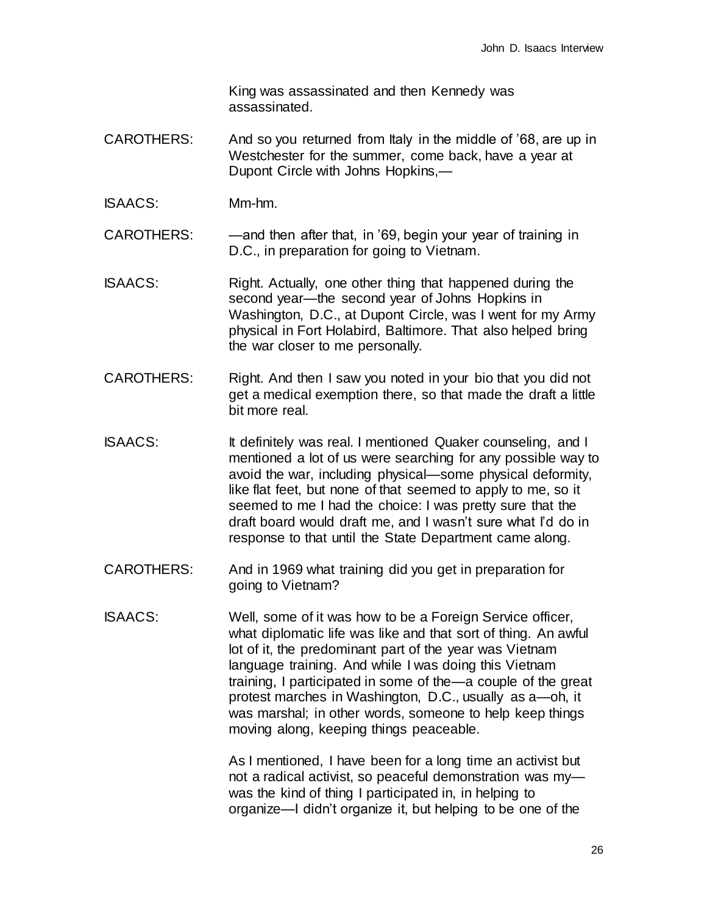King was assassinated and then Kennedy was assassinated.

- CAROTHERS: And so you returned from Italy in the middle of '68, are up in Westchester for the summer, come back, have a year at Dupont Circle with Johns Hopkins,—
- ISAACS: Mm-hm.

CAROTHERS: — —and then after that, in '69, begin your year of training in D.C., in preparation for going to Vietnam.

- ISAACS: Right. Actually, one other thing that happened during the second year—the second year of Johns Hopkins in Washington, D.C., at Dupont Circle, was I went for my Army physical in Fort Holabird, Baltimore. That also helped bring the war closer to me personally.
- CAROTHERS: Right. And then I saw you noted in your bio that you did not get a medical exemption there, so that made the draft a little bit more real.
- ISAACS: It definitely was real. I mentioned Quaker counseling, and I mentioned a lot of us were searching for any possible way to avoid the war, including physical—some physical deformity, like flat feet, but none of that seemed to apply to me, so it seemed to me I had the choice: I was pretty sure that the draft board would draft me, and I wasn't sure what I'd do in response to that until the State Department came along.
- CAROTHERS: And in 1969 what training did you get in preparation for going to Vietnam?
- ISAACS: Well, some of it was how to be a Foreign Service officer, what diplomatic life was like and that sort of thing. An awful lot of it, the predominant part of the year was Vietnam language training. And while I was doing this Vietnam training, I participated in some of the—a couple of the great protest marches in Washington, D.C., usually as a—oh, it was marshal; in other words, someone to help keep things moving along, keeping things peaceable.

As I mentioned, I have been for a long time an activist but not a radical activist, so peaceful demonstration was my was the kind of thing I participated in, in helping to organize—I didn't organize it, but helping to be one of the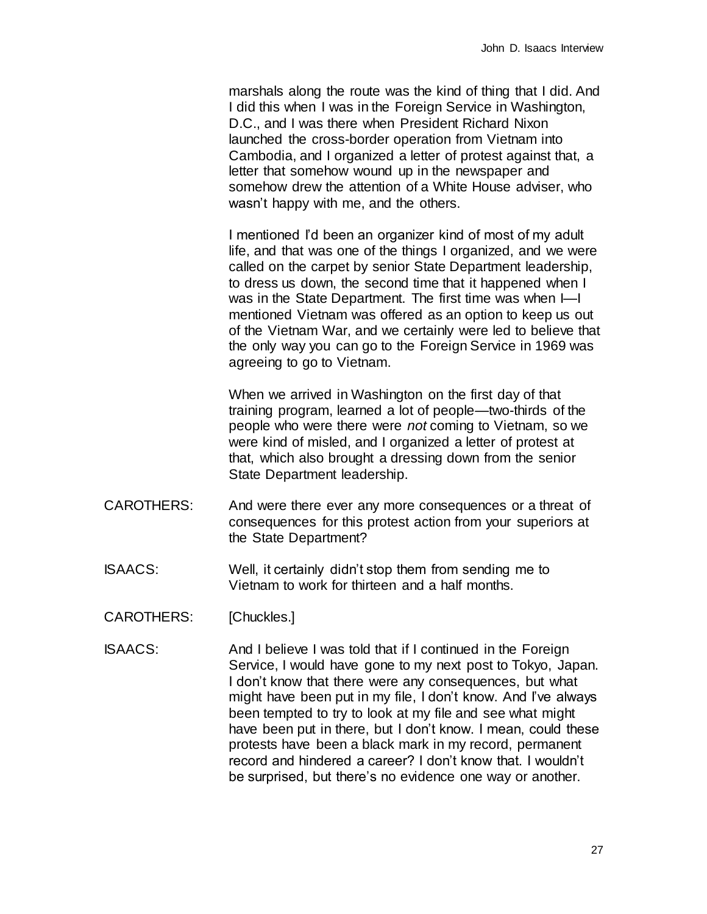marshals along the route was the kind of thing that I did. And I did this when I was in the Foreign Service in Washington, D.C., and I was there when President Richard Nixon launched the cross-border operation from Vietnam into Cambodia, and I organized a letter of protest against that, a letter that somehow wound up in the newspaper and somehow drew the attention of a White House adviser, who wasn't happy with me, and the others.

I mentioned I'd been an organizer kind of most of my adult life, and that was one of the things I organized, and we were called on the carpet by senior State Department leadership, to dress us down, the second time that it happened when I was in the State Department. The first time was when I—I mentioned Vietnam was offered as an option to keep us out of the Vietnam War, and we certainly were led to believe that the only way you can go to the Foreign Service in 1969 was agreeing to go to Vietnam.

When we arrived in Washington on the first day of that training program, learned a lot of people—two-thirds of the people who were there were *not* coming to Vietnam, so we were kind of misled, and I organized a letter of protest at that, which also brought a dressing down from the senior State Department leadership.

- CAROTHERS: And were there ever any more consequences or a threat of consequences for this protest action from your superiors at the State Department?
- ISAACS: Well, it certainly didn't stop them from sending me to Vietnam to work for thirteen and a half months.
- CAROTHERS: [Chuckles.]
- ISAACS: And I believe I was told that if I continued in the Foreign Service, I would have gone to my next post to Tokyo, Japan. I don't know that there were any consequences, but what might have been put in my file, I don't know. And I've always been tempted to try to look at my file and see what might have been put in there, but I don't know. I mean, could these protests have been a black mark in my record, permanent record and hindered a career? I don't know that. I wouldn't be surprised, but there's no evidence one way or another.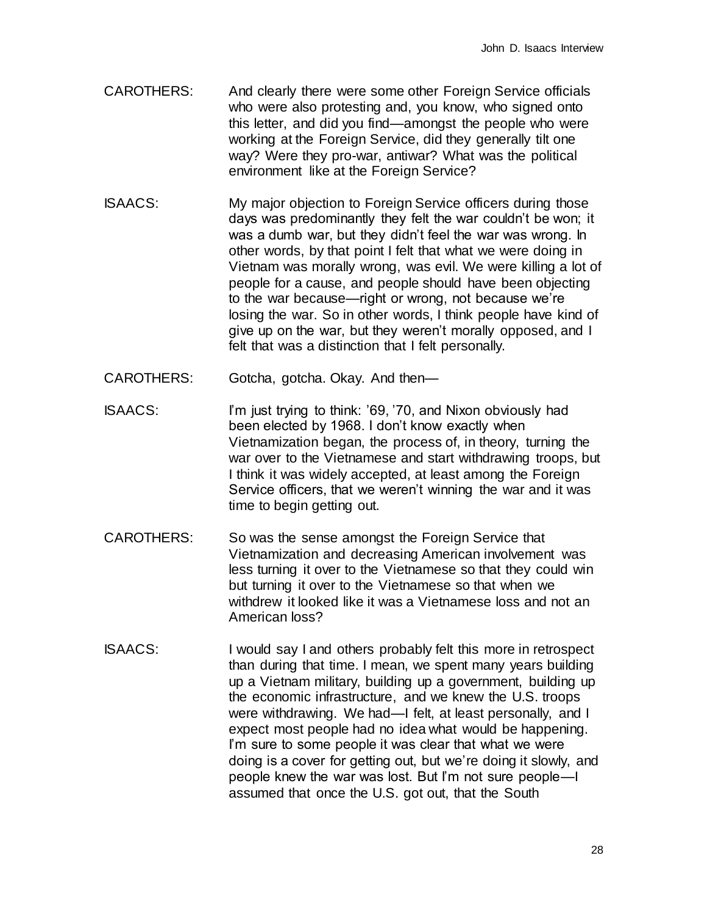- CAROTHERS: And clearly there were some other Foreign Service officials who were also protesting and, you know, who signed onto this letter, and did you find—amongst the people who were working at the Foreign Service, did they generally tilt one way? Were they pro-war, antiwar? What was the political environment like at the Foreign Service?
- ISAACS: My major objection to Foreign Service officers during those days was predominantly they felt the war couldn't be won; it was a dumb war, but they didn't feel the war was wrong. In other words, by that point I felt that what we were doing in Vietnam was morally wrong, was evil. We were killing a lot of people for a cause, and people should have been objecting to the war because—right or wrong, not because we're losing the war. So in other words, I think people have kind of give up on the war, but they weren't morally opposed, and I felt that was a distinction that I felt personally.
- CAROTHERS: Gotcha, gotcha. Okay. And then—
- ISAACS: I'm just trying to think: '69, '70, and Nixon obviously had been elected by 1968. I don't know exactly when Vietnamization began, the process of, in theory, turning the war over to the Vietnamese and start withdrawing troops, but I think it was widely accepted, at least among the Foreign Service officers, that we weren't winning the war and it was time to begin getting out.
- CAROTHERS: So was the sense amongst the Foreign Service that Vietnamization and decreasing American involvement was less turning it over to the Vietnamese so that they could win but turning it over to the Vietnamese so that when we withdrew it looked like it was a Vietnamese loss and not an American loss?
- ISAACS: I would say I and others probably felt this more in retrospect than during that time. I mean, we spent many years building up a Vietnam military, building up a government, building up the economic infrastructure, and we knew the U.S. troops were withdrawing. We had—I felt, at least personally, and I expect most people had no idea what would be happening. I'm sure to some people it was clear that what we were doing is a cover for getting out, but we're doing it slowly, and people knew the war was lost. But I'm not sure people—I assumed that once the U.S. got out, that the South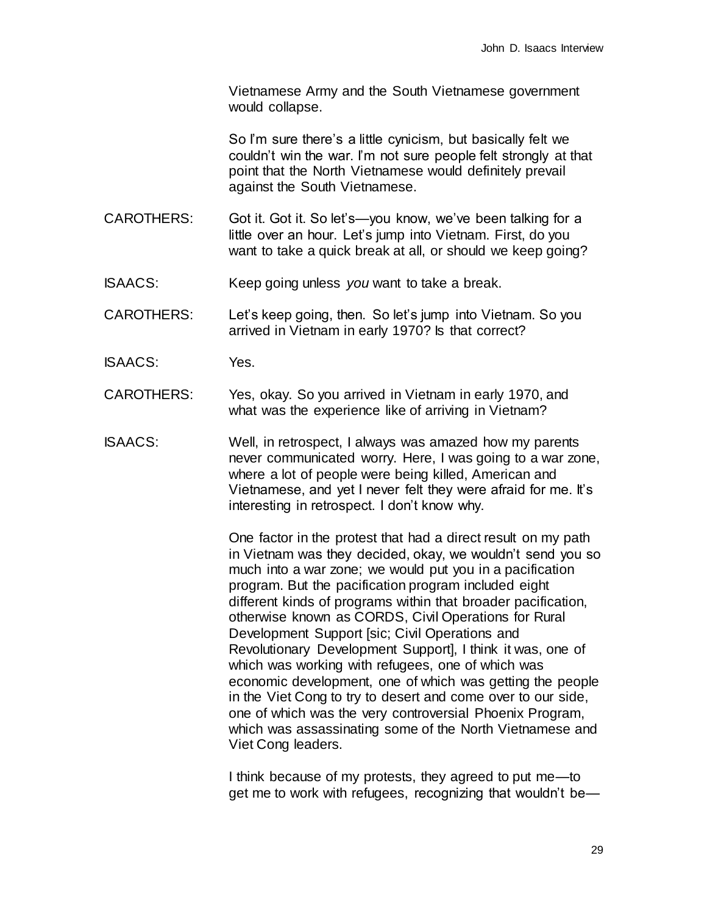Vietnamese Army and the South Vietnamese government would collapse.

So I'm sure there's a little cynicism, but basically felt we couldn't win the war. I'm not sure people felt strongly at that point that the North Vietnamese would definitely prevail against the South Vietnamese.

- CAROTHERS: Got it. Got it. So let's—you know, we've been talking for a little over an hour. Let's jump into Vietnam. First, do you want to take a quick break at all, or should we keep going?
- ISAACS: Keep going unless *you* want to take a break.

CAROTHERS: Let's keep going, then. So let's jump into Vietnam. So you arrived in Vietnam in early 1970? Is that correct?

- ISAACS: Yes.
- CAROTHERS: Yes, okay. So you arrived in Vietnam in early 1970, and what was the experience like of arriving in Vietnam?
- ISAACS: Well, in retrospect, I always was amazed how my parents never communicated worry. Here, I was going to a war zone, where a lot of people were being killed, American and Vietnamese, and yet I never felt they were afraid for me. It's interesting in retrospect. I don't know why.

One factor in the protest that had a direct result on my path in Vietnam was they decided, okay, we wouldn't send you so much into a war zone; we would put you in a pacification program. But the pacification program included eight different kinds of programs within that broader pacification, otherwise known as CORDS, Civil Operations for Rural Development Support [sic; Civil Operations and Revolutionary Development Support], I think it was, one of which was working with refugees, one of which was economic development, one of which was getting the people in the Viet Cong to try to desert and come over to our side, one of which was the very controversial Phoenix Program, which was assassinating some of the North Vietnamese and Viet Cong leaders.

I think because of my protests, they agreed to put me—to get me to work with refugees, recognizing that wouldn't be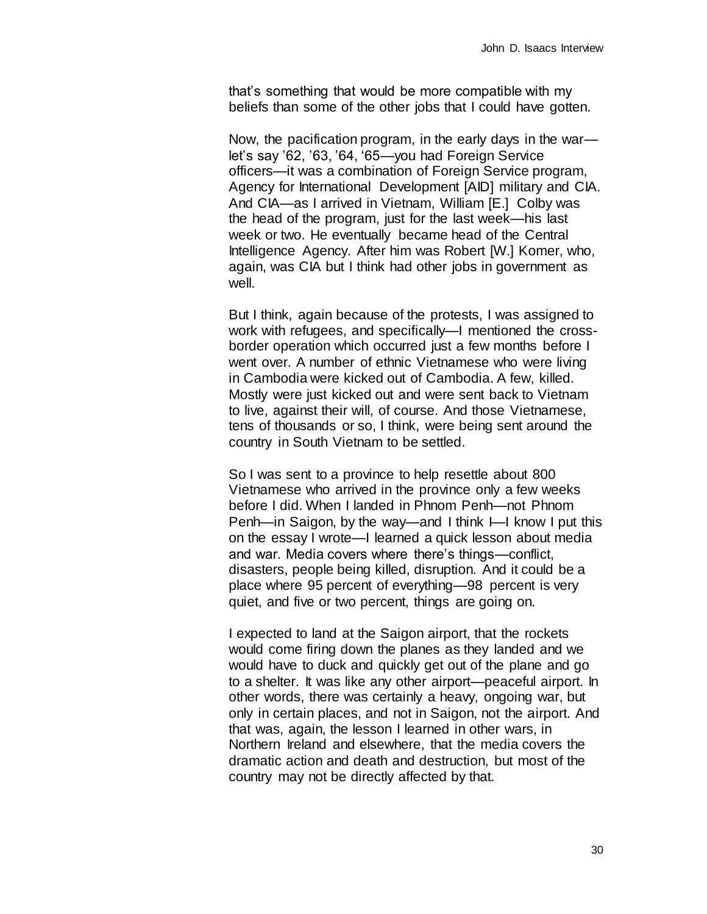that's something that would be more compatible with my beliefs than some of the other jobs that I could have gotten.

Now, the pacification program, in the early days in the war let's say '62, '63, '64, '65—you had Foreign Service officers—it was a combination of Foreign Service program, Agency for International Development [AID] military and CIA. And CIA—as I arrived in Vietnam, William [E.] Colby was the head of the program, just for the last week—his last week or two. He eventually became head of the Central Intelligence Agency. After him was Robert [W.] Komer, who, again, was CIA but I think had other jobs in government as well.

But I think, again because of the protests, I was assigned to work with refugees, and specifically—I mentioned the crossborder operation which occurred just a few months before I went over. A number of ethnic Vietnamese who were living in Cambodia were kicked out of Cambodia. A few, killed. Mostly were just kicked out and were sent back to Vietnam to live, against their will, of course. And those Vietnamese, tens of thousands or so, I think, were being sent around the country in South Vietnam to be settled.

So I was sent to a province to help resettle about 800 Vietnamese who arrived in the province only a few weeks before I did. When I landed in Phnom Penh—not Phnom Penh—in Saigon, by the way—and I think I—I know I put this on the essay I wrote—I learned a quick lesson about media and war. Media covers where there's things—conflict, disasters, people being killed, disruption. And it could be a place where 95 percent of everything—98 percent is very quiet, and five or two percent, things are going on.

I expected to land at the Saigon airport, that the rockets would come firing down the planes as they landed and we would have to duck and quickly get out of the plane and go to a shelter. It was like any other airport—peaceful airport. In other words, there was certainly a heavy, ongoing war, but only in certain places, and not in Saigon, not the airport. And that was, again, the lesson I learned in other wars, in Northern Ireland and elsewhere, that the media covers the dramatic action and death and destruction, but most of the country may not be directly affected by that.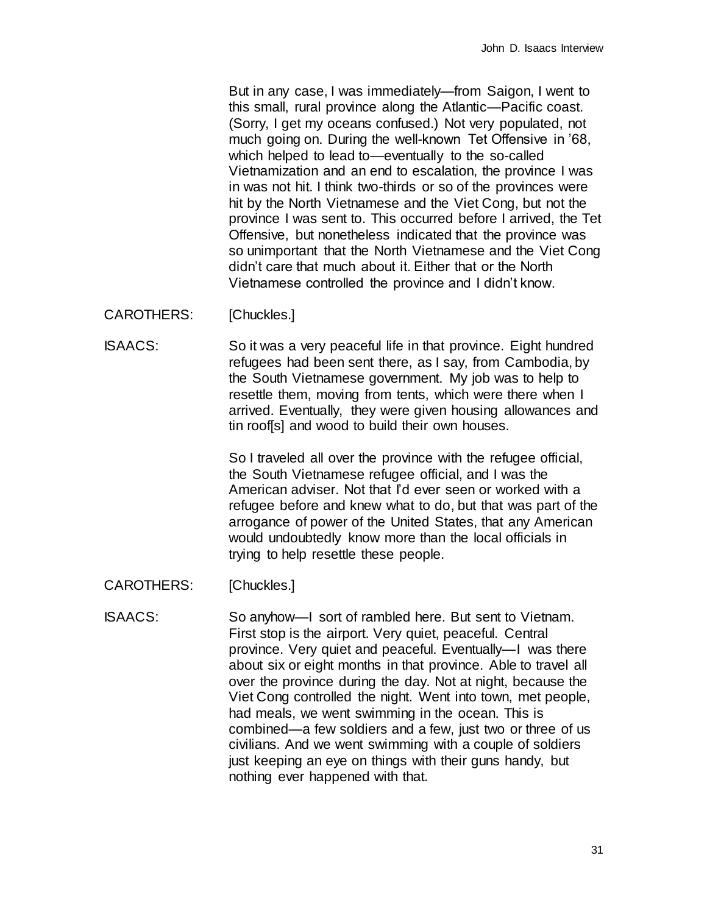But in any case, I was immediately—from Saigon, I went to this small, rural province along the Atlantic—Pacific coast. (Sorry, I get my oceans confused.) Not very populated, not much going on. During the well-known Tet Offensive in '68, which helped to lead to—eventually to the so-called Vietnamization and an end to escalation, the province I was in was not hit. I think two-thirds or so of the provinces were hit by the North Vietnamese and the Viet Cong, but not the province I was sent to. This occurred before I arrived, the Tet Offensive, but nonetheless indicated that the province was so unimportant that the North Vietnamese and the Viet Cong didn't care that much about it. Either that or the North Vietnamese controlled the province and I didn't know.

CAROTHERS: [Chuckles.]

ISAACS: So it was a very peaceful life in that province. Eight hundred refugees had been sent there, as I say, from Cambodia, by the South Vietnamese government. My job was to help to resettle them, moving from tents, which were there when I arrived. Eventually, they were given housing allowances and tin roof[s] and wood to build their own houses.

> So I traveled all over the province with the refugee official, the South Vietnamese refugee official, and I was the American adviser. Not that I'd ever seen or worked with a refugee before and knew what to do, but that was part of the arrogance of power of the United States, that any American would undoubtedly know more than the local officials in trying to help resettle these people.

CAROTHERS: [Chuckles.]

ISAACS: So anyhow—I sort of rambled here. But sent to Vietnam. First stop is the airport. Very quiet, peaceful. Central province. Very quiet and peaceful. Eventually—I was there about six or eight months in that province. Able to travel all over the province during the day. Not at night, because the Viet Cong controlled the night. Went into town, met people, had meals, we went swimming in the ocean. This is combined—a few soldiers and a few, just two or three of us civilians. And we went swimming with a couple of soldiers just keeping an eye on things with their guns handy, but nothing ever happened with that.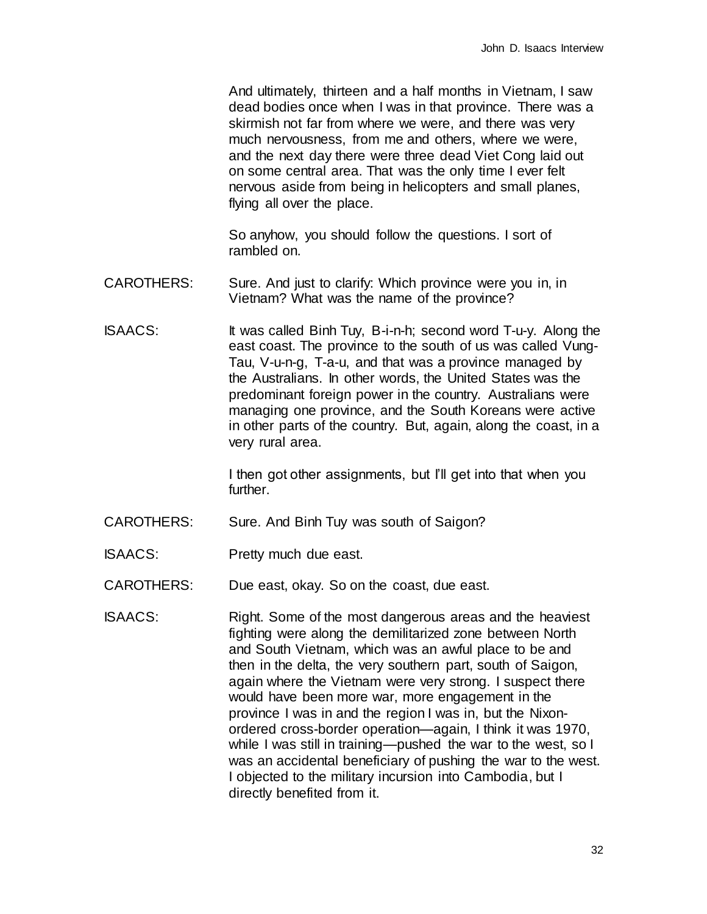And ultimately, thirteen and a half months in Vietnam, I saw dead bodies once when I was in that province. There was a skirmish not far from where we were, and there was very much nervousness, from me and others, where we were, and the next day there were three dead Viet Cong laid out on some central area. That was the only time I ever felt nervous aside from being in helicopters and small planes, flying all over the place.

So anyhow, you should follow the questions. I sort of rambled on.

- CAROTHERS: Sure. And just to clarify: Which province were you in, in Vietnam? What was the name of the province?
- ISAACS: It was called Binh Tuy, B-i-n-h; second word T-u-y. Along the east coast. The province to the south of us was called Vung-Tau, V-u-n-g, T-a-u, and that was a province managed by the Australians. In other words, the United States was the predominant foreign power in the country. Australians were managing one province, and the South Koreans were active in other parts of the country. But, again, along the coast, in a very rural area.

I then got other assignments, but I'll get into that when you further.

- CAROTHERS: Sure. And Binh Tuy was south of Saigon?
- ISAACS: Pretty much due east.

CAROTHERS: Due east, okay. So on the coast, due east.

ISAACS: Right. Some of the most dangerous areas and the heaviest fighting were along the demilitarized zone between North and South Vietnam, which was an awful place to be and then in the delta, the very southern part, south of Saigon, again where the Vietnam were very strong. I suspect there would have been more war, more engagement in the province I was in and the region I was in, but the Nixonordered cross-border operation—again, I think it was 1970, while I was still in training—pushed the war to the west, so I was an accidental beneficiary of pushing the war to the west. I objected to the military incursion into Cambodia, but I directly benefited from it.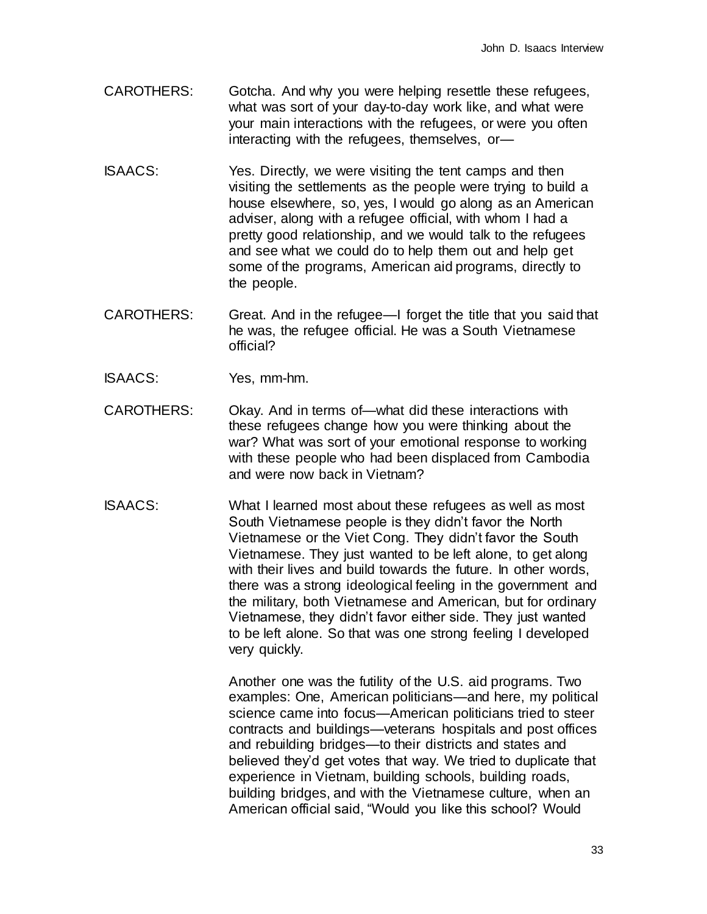- CAROTHERS: Gotcha. And why you were helping resettle these refugees, what was sort of your day-to-day work like, and what were your main interactions with the refugees, or were you often interacting with the refugees, themselves, or—
- ISAACS: Yes. Directly, we were visiting the tent camps and then visiting the settlements as the people were trying to build a house elsewhere, so, yes, I would go along as an American adviser, along with a refugee official, with whom I had a pretty good relationship, and we would talk to the refugees and see what we could do to help them out and help get some of the programs, American aid programs, directly to the people.
- CAROTHERS: Great. And in the refugee—I forget the title that you said that he was, the refugee official. He was a South Vietnamese official?
- ISAACS: Yes, mm-hm.
- CAROTHERS: Okay. And in terms of—what did these interactions with these refugees change how you were thinking about the war? What was sort of your emotional response to working with these people who had been displaced from Cambodia and were now back in Vietnam?
- ISAACS: What I learned most about these refugees as well as most South Vietnamese people is they didn't favor the North Vietnamese or the Viet Cong. They didn't favor the South Vietnamese. They just wanted to be left alone, to get along with their lives and build towards the future. In other words, there was a strong ideological feeling in the government and the military, both Vietnamese and American, but for ordinary Vietnamese, they didn't favor either side. They just wanted to be left alone. So that was one strong feeling I developed very quickly.

Another one was the futility of the U.S. aid programs. Two examples: One, American politicians—and here, my political science came into focus—American politicians tried to steer contracts and buildings—veterans hospitals and post offices and rebuilding bridges—to their districts and states and believed they'd get votes that way. We tried to duplicate that experience in Vietnam, building schools, building roads, building bridges, and with the Vietnamese culture, when an American official said, "Would you like this school? Would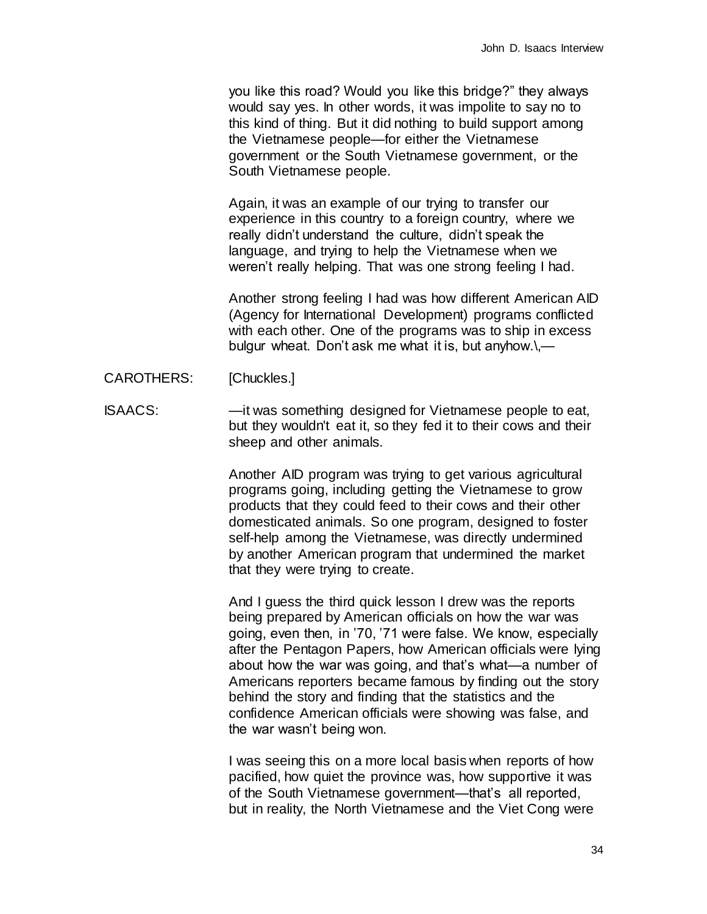you like this road? Would you like this bridge?" they always would say yes. In other words, it was impolite to say no to this kind of thing. But it did nothing to build support among the Vietnamese people—for either the Vietnamese government or the South Vietnamese government, or the South Vietnamese people.

Again, it was an example of our trying to transfer our experience in this country to a foreign country, where we really didn't understand the culture, didn't speak the language, and trying to help the Vietnamese when we weren't really helping. That was one strong feeling I had.

Another strong feeling I had was how different American AID (Agency for International Development) programs conflicted with each other. One of the programs was to ship in excess bulgur wheat. Don't ask me what it is, but anyhow.\,—

- CAROTHERS: [Chuckles.]
- ISAACS: —it was something designed for Vietnamese people to eat, but they wouldn't eat it, so they fed it to their cows and their sheep and other animals.

Another AID program was trying to get various agricultural programs going, including getting the Vietnamese to grow products that they could feed to their cows and their other domesticated animals. So one program, designed to foster self-help among the Vietnamese, was directly undermined by another American program that undermined the market that they were trying to create.

And I guess the third quick lesson I drew was the reports being prepared by American officials on how the war was going, even then, in '70, '71 were false. We know, especially after the Pentagon Papers, how American officials were lying about how the war was going, and that's what—a number of Americans reporters became famous by finding out the story behind the story and finding that the statistics and the confidence American officials were showing was false, and the war wasn't being won.

I was seeing this on a more local basis when reports of how pacified, how quiet the province was, how supportive it was of the South Vietnamese government—that's all reported, but in reality, the North Vietnamese and the Viet Cong were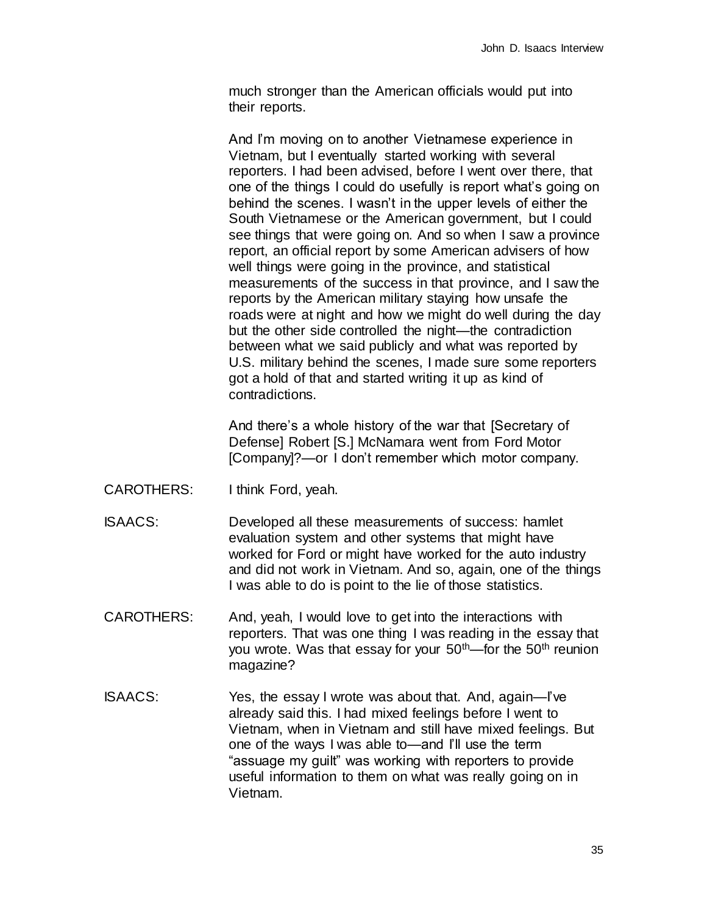much stronger than the American officials would put into their reports.

And I'm moving on to another Vietnamese experience in Vietnam, but I eventually started working with several reporters. I had been advised, before I went over there, that one of the things I could do usefully is report what's going on behind the scenes. I wasn't in the upper levels of either the South Vietnamese or the American government, but I could see things that were going on. And so when I saw a province report, an official report by some American advisers of how well things were going in the province, and statistical measurements of the success in that province, and I saw the reports by the American military staying how unsafe the roads were at night and how we might do well during the day but the other side controlled the night—the contradiction between what we said publicly and what was reported by U.S. military behind the scenes, I made sure some reporters got a hold of that and started writing it up as kind of contradictions.

And there's a whole history of the war that [Secretary of Defense] Robert [S.] McNamara went from Ford Motor [Company]?—or I don't remember which motor company.

- CAROTHERS: I think Ford, yeah.
- ISAACS: Developed all these measurements of success: hamlet evaluation system and other systems that might have worked for Ford or might have worked for the auto industry and did not work in Vietnam. And so, again, one of the things I was able to do is point to the lie of those statistics.
- CAROTHERS: And, yeah, I would love to get into the interactions with reporters. That was one thing I was reading in the essay that you wrote. Was that essay for your  $50<sup>th</sup>$ —for the  $50<sup>th</sup>$  reunion magazine?
- ISAACS: Yes, the essay I wrote was about that. And, again—I've already said this. I had mixed feelings before I went to Vietnam, when in Vietnam and still have mixed feelings. But one of the ways I was able to—and I'll use the term "assuage my guilt" was working with reporters to provide useful information to them on what was really going on in Vietnam.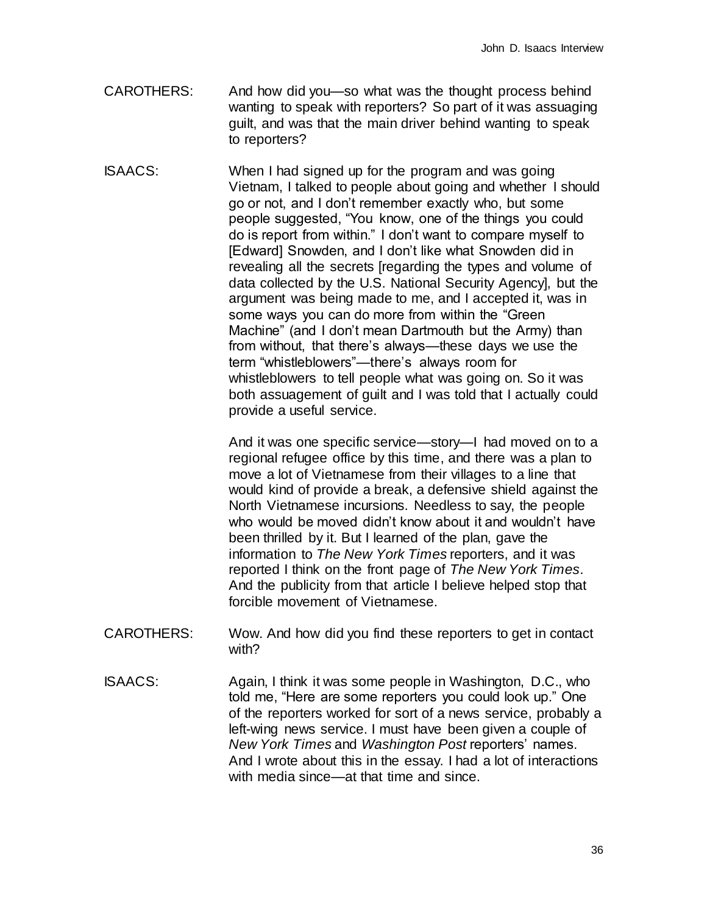- CAROTHERS: And how did you—so what was the thought process behind wanting to speak with reporters? So part of it was assuaging guilt, and was that the main driver behind wanting to speak to reporters?
- ISAACS: When I had signed up for the program and was going Vietnam, I talked to people about going and whether I should go or not, and I don't remember exactly who, but some people suggested, "You know, one of the things you could do is report from within." I don't want to compare myself to [Edward] Snowden, and I don't like what Snowden did in revealing all the secrets [regarding the types and volume of data collected by the U.S. National Security Agency], but the argument was being made to me, and I accepted it, was in some ways you can do more from within the "Green Machine" (and I don't mean Dartmouth but the Army) than from without, that there's always—these days we use the term "whistleblowers"—there's always room for whistleblowers to tell people what was going on. So it was both assuagement of guilt and I was told that I actually could provide a useful service.

And it was one specific service—story—I had moved on to a regional refugee office by this time, and there was a plan to move a lot of Vietnamese from their villages to a line that would kind of provide a break, a defensive shield against the North Vietnamese incursions. Needless to say, the people who would be moved didn't know about it and wouldn't have been thrilled by it. But I learned of the plan, gave the information to *The New York Times* reporters, and it was reported I think on the front page of *The New York Times*. And the publicity from that article I believe helped stop that forcible movement of Vietnamese.

- CAROTHERS: Wow. And how did you find these reporters to get in contact with?
- ISAACS: Again, I think it was some people in Washington, D.C., who told me, "Here are some reporters you could look up." One of the reporters worked for sort of a news service, probably a left-wing news service. I must have been given a couple of *New York Times* and *Washington Post* reporters' names. And I wrote about this in the essay. I had a lot of interactions with media since—at that time and since.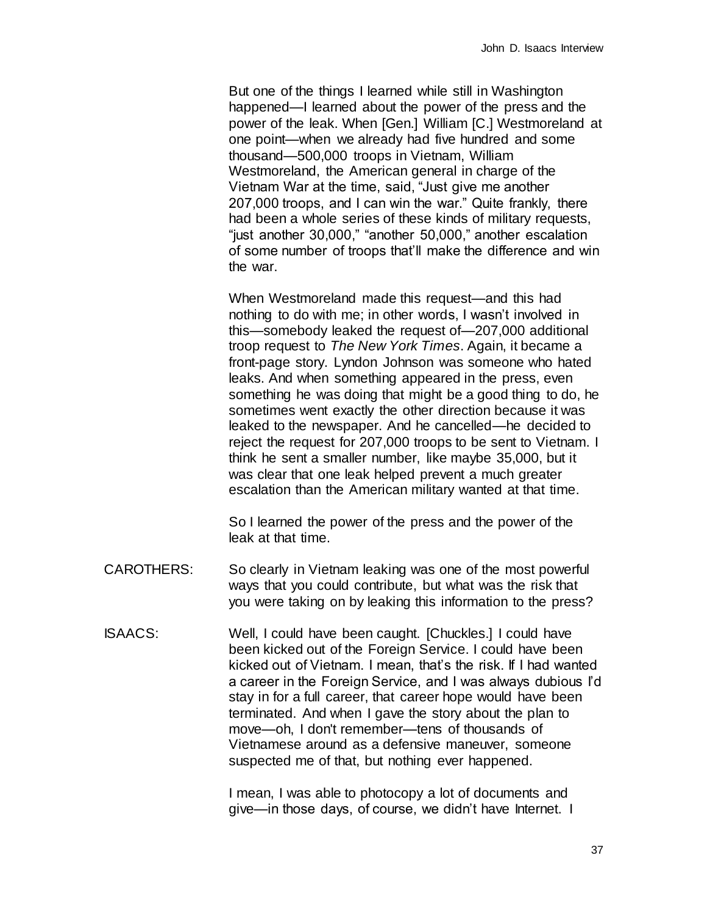But one of the things I learned while still in Washington happened—I learned about the power of the press and the power of the leak. When [Gen.] William [C.] Westmoreland at one point—when we already had five hundred and some thousand—500,000 troops in Vietnam, William Westmoreland, the American general in charge of the Vietnam War at the time, said, "Just give me another 207,000 troops, and I can win the war." Quite frankly, there had been a whole series of these kinds of military requests, "just another 30,000," "another 50,000," another escalation of some number of troops that'll make the difference and win the war.

When Westmoreland made this request—and this had nothing to do with me; in other words, I wasn't involved in this—somebody leaked the request of—207,000 additional troop request to *The New York Times*. Again, it became a front-page story. Lyndon Johnson was someone who hated leaks. And when something appeared in the press, even something he was doing that might be a good thing to do, he sometimes went exactly the other direction because it was leaked to the newspaper. And he cancelled—he decided to reject the request for 207,000 troops to be sent to Vietnam. I think he sent a smaller number, like maybe 35,000, but it was clear that one leak helped prevent a much greater escalation than the American military wanted at that time.

So I learned the power of the press and the power of the leak at that time.

- CAROTHERS: So clearly in Vietnam leaking was one of the most powerful ways that you could contribute, but what was the risk that you were taking on by leaking this information to the press?
- ISAACS: Well, I could have been caught. [Chuckles.] I could have been kicked out of the Foreign Service. I could have been kicked out of Vietnam. I mean, that's the risk. If I had wanted a career in the Foreign Service, and I was always dubious I'd stay in for a full career, that career hope would have been terminated. And when I gave the story about the plan to move—oh, I don't remember—tens of thousands of Vietnamese around as a defensive maneuver, someone suspected me of that, but nothing ever happened.

I mean, I was able to photocopy a lot of documents and give—in those days, of course, we didn't have Internet. I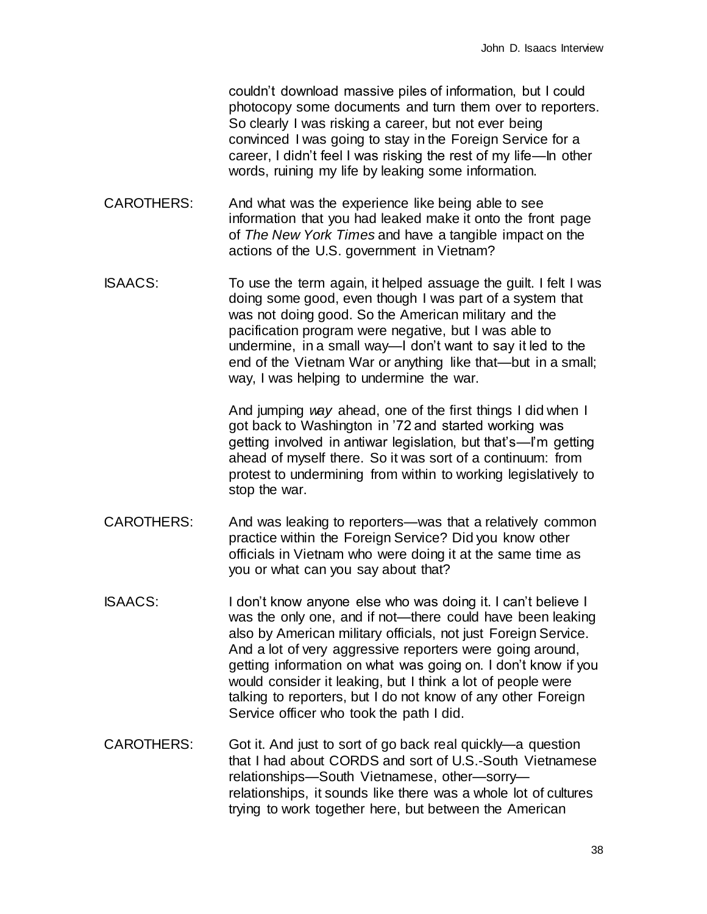couldn't download massive piles of information, but I could photocopy some documents and turn them over to reporters. So clearly I was risking a career, but not ever being convinced I was going to stay in the Foreign Service for a career, I didn't feel I was risking the rest of my life—In other words, ruining my life by leaking some information.

- CAROTHERS: And what was the experience like being able to see information that you had leaked make it onto the front page of *The New York Times* and have a tangible impact on the actions of the U.S. government in Vietnam?
- ISAACS: To use the term again, it helped assuage the guilt. I felt I was doing some good, even though I was part of a system that was not doing good. So the American military and the pacification program were negative, but I was able to undermine, in a small way—I don't want to say it led to the end of the Vietnam War or anything like that—but in a small; way, I was helping to undermine the war.

And jumping *way* ahead, one of the first things I did when I got back to Washington in '72 and started working was getting involved in antiwar legislation, but that's—I'm getting ahead of myself there. So it was sort of a continuum: from protest to undermining from within to working legislatively to stop the war.

- CAROTHERS: And was leaking to reporters—was that a relatively common practice within the Foreign Service? Did you know other officials in Vietnam who were doing it at the same time as you or what can you say about that?
- ISAACS: I don't know anyone else who was doing it. I can't believe I was the only one, and if not—there could have been leaking also by American military officials, not just Foreign Service. And a lot of very aggressive reporters were going around, getting information on what was going on. I don't know if you would consider it leaking, but I think a lot of people were talking to reporters, but I do not know of any other Foreign Service officer who took the path I did.
- CAROTHERS: Got it. And just to sort of go back real quickly—a question that I had about CORDS and sort of U.S.-South Vietnamese relationships—South Vietnamese, other—sorry relationships, it sounds like there was a whole lot of cultures trying to work together here, but between the American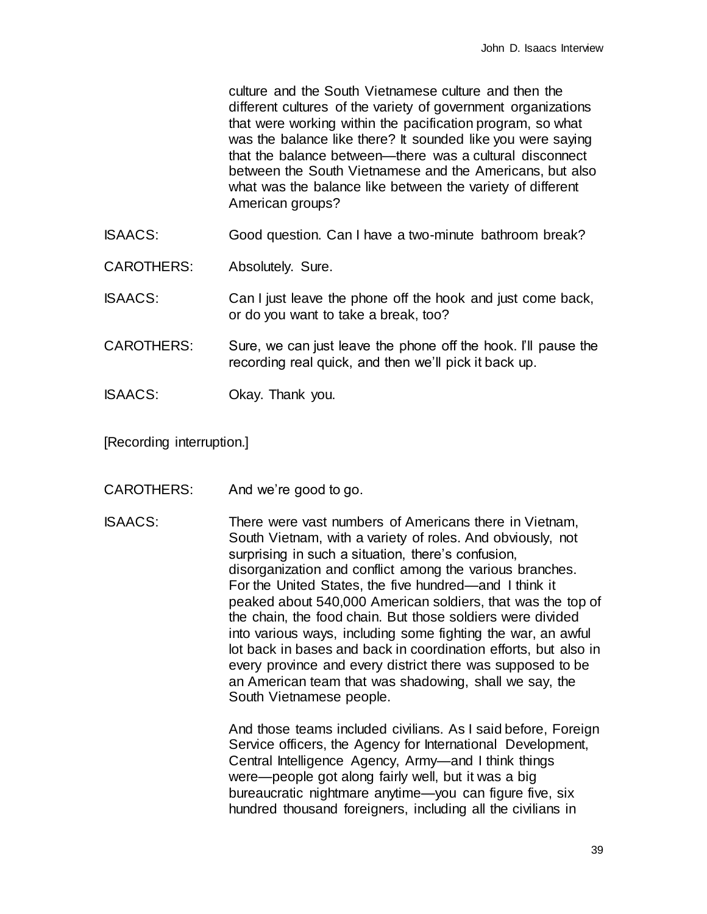culture and the South Vietnamese culture and then the different cultures of the variety of government organizations that were working within the pacification program, so what was the balance like there? It sounded like you were saying that the balance between—there was a cultural disconnect between the South Vietnamese and the Americans, but also what was the balance like between the variety of different American groups?

ISAACS: Good question. Can I have a two-minute bathroom break?

CAROTHERS: Absolutely. Sure.

ISAACS: Can I just leave the phone off the hook and just come back, or do you want to take a break, too?

- CAROTHERS: Sure, we can just leave the phone off the hook. I'll pause the recording real quick, and then we'll pick it back up.
- ISAACS: Okay. Thank you.

[Recording interruption.]

- CAROTHERS: And we're good to go.
- ISAACS: There were vast numbers of Americans there in Vietnam, South Vietnam, with a variety of roles. And obviously, not surprising in such a situation, there's confusion, disorganization and conflict among the various branches. For the United States, the five hundred—and I think it peaked about 540,000 American soldiers, that was the top of the chain, the food chain. But those soldiers were divided into various ways, including some fighting the war, an awful lot back in bases and back in coordination efforts, but also in every province and every district there was supposed to be an American team that was shadowing, shall we say, the South Vietnamese people.

And those teams included civilians. As I said before, Foreign Service officers, the Agency for International Development, Central Intelligence Agency, Army—and I think things were—people got along fairly well, but it was a big bureaucratic nightmare anytime—you can figure five, six hundred thousand foreigners, including all the civilians in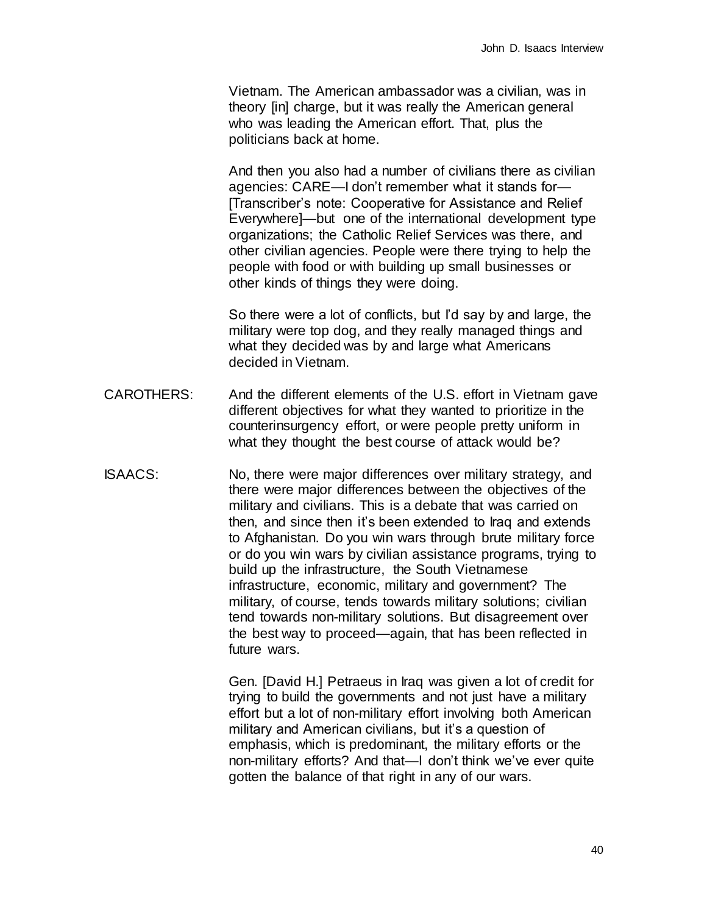Vietnam. The American ambassador was a civilian, was in theory [in] charge, but it was really the American general who was leading the American effort. That, plus the politicians back at home.

And then you also had a number of civilians there as civilian agencies: CARE—I don't remember what it stands for— [Transcriber's note: Cooperative for Assistance and Relief Everywhere]—but one of the international development type organizations; the Catholic Relief Services was there, and other civilian agencies. People were there trying to help the people with food or with building up small businesses or other kinds of things they were doing.

So there were a lot of conflicts, but I'd say by and large, the military were top dog, and they really managed things and what they decided was by and large what Americans decided in Vietnam.

- CAROTHERS: And the different elements of the U.S. effort in Vietnam gave different objectives for what they wanted to prioritize in the counterinsurgency effort, or were people pretty uniform in what they thought the best course of attack would be?
- ISAACS: No, there were major differences over military strategy, and there were major differences between the objectives of the military and civilians. This is a debate that was carried on then, and since then it's been extended to Iraq and extends to Afghanistan. Do you win wars through brute military force or do you win wars by civilian assistance programs, trying to build up the infrastructure, the South Vietnamese infrastructure, economic, military and government? The military, of course, tends towards military solutions; civilian tend towards non-military solutions. But disagreement over the best way to proceed—again, that has been reflected in future wars.

Gen. [David H.] Petraeus in Iraq was given a lot of credit for trying to build the governments and not just have a military effort but a lot of non-military effort involving both American military and American civilians, but it's a question of emphasis, which is predominant, the military efforts or the non-military efforts? And that—I don't think we've ever quite gotten the balance of that right in any of our wars.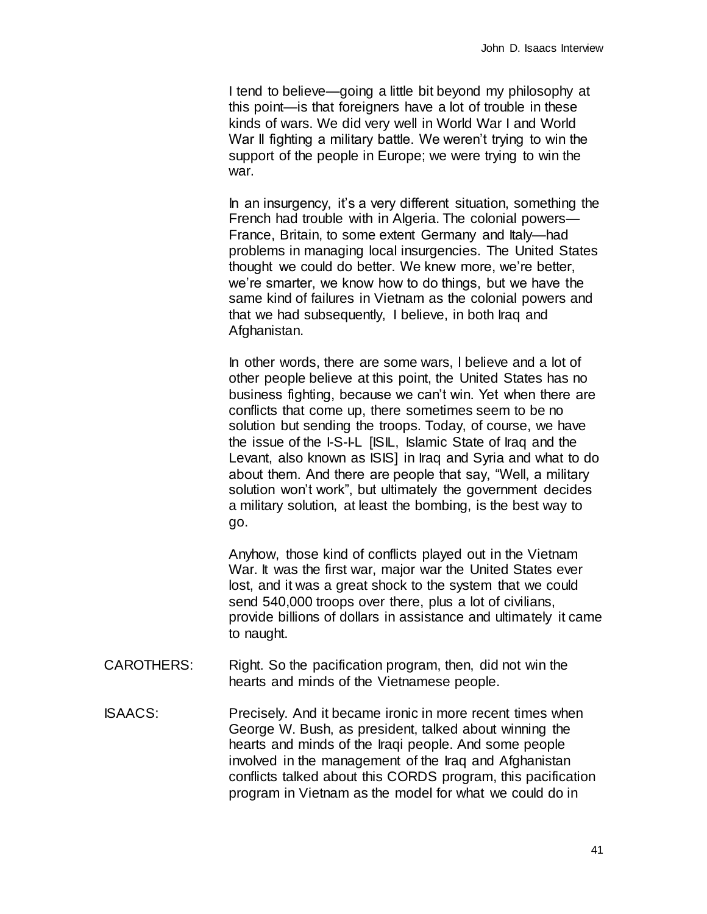I tend to believe—going a little bit beyond my philosophy at this point—is that foreigners have a lot of trouble in these kinds of wars. We did very well in World War I and World War II fighting a military battle. We weren't trying to win the support of the people in Europe; we were trying to win the war.

In an insurgency, it's a very different situation, something the French had trouble with in Algeria. The colonial powers— France, Britain, to some extent Germany and Italy—had problems in managing local insurgencies. The United States thought we could do better. We knew more, we're better, we're smarter, we know how to do things, but we have the same kind of failures in Vietnam as the colonial powers and that we had subsequently, I believe, in both Iraq and Afghanistan.

In other words, there are some wars, l believe and a lot of other people believe at this point, the United States has no business fighting, because we can't win. Yet when there are conflicts that come up, there sometimes seem to be no solution but sending the troops. Today, of course, we have the issue of the I-S-I-L [ISIL, Islamic State of Iraq and the Levant, also known as ISIS] in Iraq and Syria and what to do about them. And there are people that say, "Well, a military solution won't work", but ultimately the government decides a military solution, at least the bombing, is the best way to go.

Anyhow, those kind of conflicts played out in the Vietnam War. It was the first war, major war the United States ever lost, and it was a great shock to the system that we could send 540,000 troops over there, plus a lot of civilians, provide billions of dollars in assistance and ultimately it came to naught.

- CAROTHERS: Right. So the pacification program, then, did not win the hearts and minds of the Vietnamese people.
- ISAACS: Precisely. And it became ironic in more recent times when George W. Bush, as president, talked about winning the hearts and minds of the Iraqi people. And some people involved in the management of the Iraq and Afghanistan conflicts talked about this CORDS program, this pacification program in Vietnam as the model for what we could do in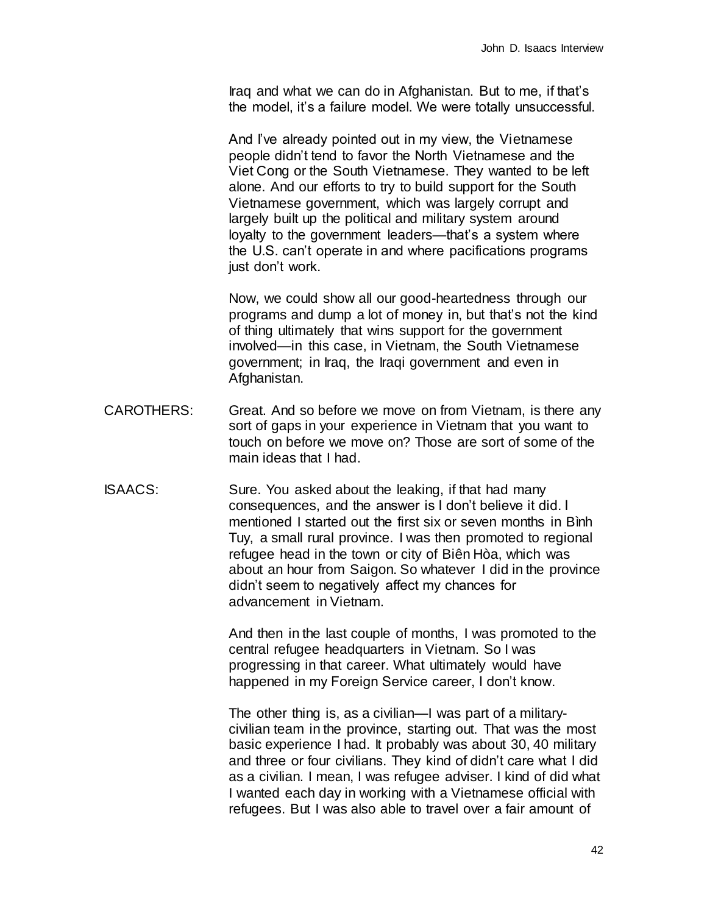Iraq and what we can do in Afghanistan. But to me, if that's the model, it's a failure model. We were totally unsuccessful.

And I've already pointed out in my view, the Vietnamese people didn't tend to favor the North Vietnamese and the Viet Cong or the South Vietnamese. They wanted to be left alone. And our efforts to try to build support for the South Vietnamese government, which was largely corrupt and largely built up the political and military system around loyalty to the government leaders—that's a system where the U.S. can't operate in and where pacifications programs just don't work.

Now, we could show all our good-heartedness through our programs and dump a lot of money in, but that's not the kind of thing ultimately that wins support for the government involved—in this case, in Vietnam, the South Vietnamese government; in Iraq, the Iraqi government and even in Afghanistan.

- CAROTHERS: Great. And so before we move on from Vietnam, is there any sort of gaps in your experience in Vietnam that you want to touch on before we move on? Those are sort of some of the main ideas that I had.
- ISAACS: Sure. You asked about the leaking, if that had many consequences, and the answer is I don't believe it did. I mentioned I started out the first six or seven months in Bình Tuy, a small rural province. I was then promoted to regional refugee head in the town or city of Biên Hòa, which was about an hour from Saigon. So whatever I did in the province didn't seem to negatively affect my chances for advancement in Vietnam.

And then in the last couple of months, I was promoted to the central refugee headquarters in Vietnam. So I was progressing in that career. What ultimately would have happened in my Foreign Service career, I don't know.

The other thing is, as a civilian—I was part of a militarycivilian team in the province, starting out. That was the most basic experience I had. It probably was about 30, 40 military and three or four civilians. They kind of didn't care what I did as a civilian. I mean, I was refugee adviser. I kind of did what I wanted each day in working with a Vietnamese official with refugees. But I was also able to travel over a fair amount of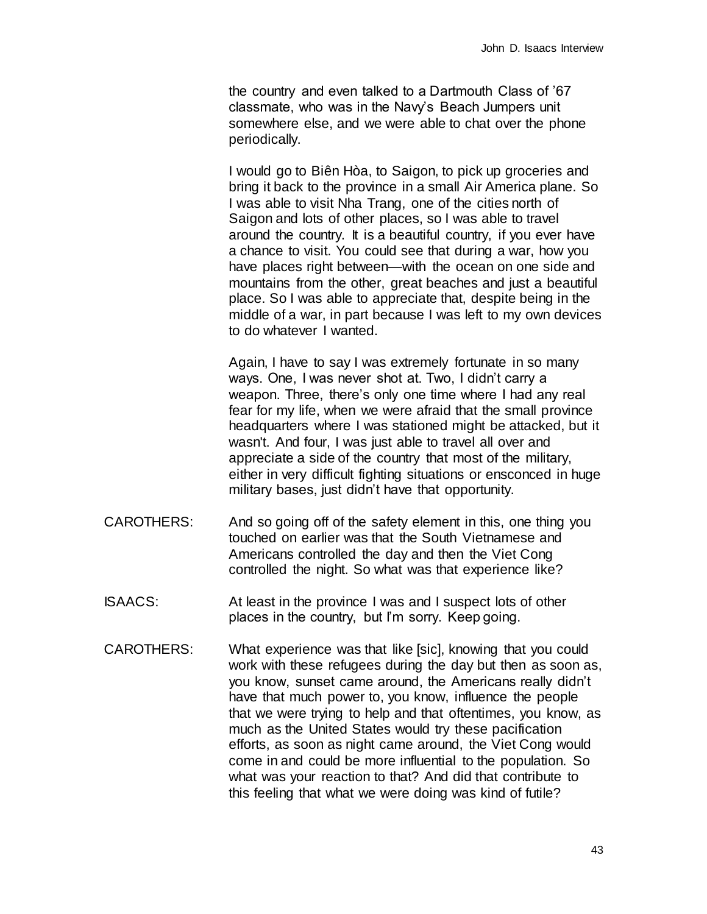the country and even talked to a Dartmouth Class of '67 classmate, who was in the Navy's Beach Jumpers unit somewhere else, and we were able to chat over the phone periodically.

I would go to Biên Hòa, to Saigon, to pick up groceries and bring it back to the province in a small Air America plane. So I was able to visit Nha Trang, one of the cities north of Saigon and lots of other places, so I was able to travel around the country. It is a beautiful country, if you ever have a chance to visit. You could see that during a war, how you have places right between—with the ocean on one side and mountains from the other, great beaches and just a beautiful place. So I was able to appreciate that, despite being in the middle of a war, in part because I was left to my own devices to do whatever I wanted.

Again, I have to say I was extremely fortunate in so many ways. One, I was never shot at. Two, I didn't carry a weapon. Three, there's only one time where I had any real fear for my life, when we were afraid that the small province headquarters where I was stationed might be attacked, but it wasn't. And four, I was just able to travel all over and appreciate a side of the country that most of the military, either in very difficult fighting situations or ensconced in huge military bases, just didn't have that opportunity.

- CAROTHERS: And so going off of the safety element in this, one thing you touched on earlier was that the South Vietnamese and Americans controlled the day and then the Viet Cong controlled the night. So what was that experience like?
- ISAACS: At least in the province I was and I suspect lots of other places in the country, but I'm sorry. Keep going.
- CAROTHERS: What experience was that like [sic], knowing that you could work with these refugees during the day but then as soon as, you know, sunset came around, the Americans really didn't have that much power to, you know, influence the people that we were trying to help and that oftentimes, you know, as much as the United States would try these pacification efforts, as soon as night came around, the Viet Cong would come in and could be more influential to the population. So what was your reaction to that? And did that contribute to this feeling that what we were doing was kind of futile?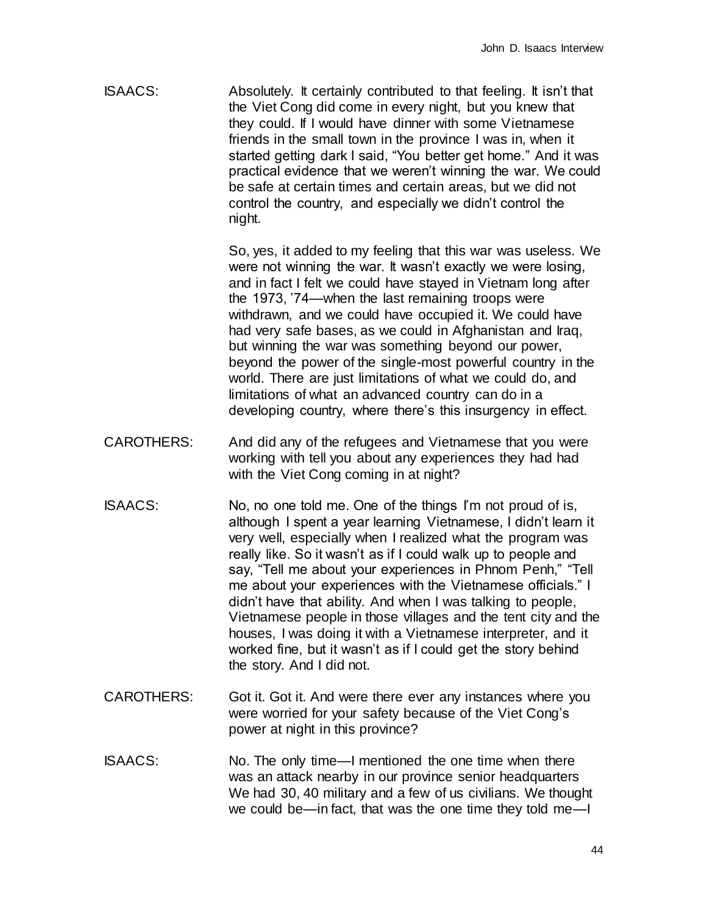ISAACS: Absolutely. It certainly contributed to that feeling. It isn't that the Viet Cong did come in every night, but you knew that they could. If I would have dinner with some Vietnamese friends in the small town in the province I was in, when it started getting dark I said, "You better get home." And it was practical evidence that we weren't winning the war. We could be safe at certain times and certain areas, but we did not control the country, and especially we didn't control the night.

> So, yes, it added to my feeling that this war was useless. We were not winning the war. It wasn't exactly we were losing, and in fact I felt we could have stayed in Vietnam long after the 1973, '74—when the last remaining troops were withdrawn, and we could have occupied it. We could have had very safe bases, as we could in Afghanistan and Iraq, but winning the war was something beyond our power, beyond the power of the single-most powerful country in the world. There are just limitations of what we could do, and limitations of what an advanced country can do in a developing country, where there's this insurgency in effect.

- CAROTHERS: And did any of the refugees and Vietnamese that you were working with tell you about any experiences they had had with the Viet Cong coming in at night?
- ISAACS: No, no one told me. One of the things I'm not proud of is, although I spent a year learning Vietnamese, I didn't learn it very well, especially when I realized what the program was really like. So it wasn't as if I could walk up to people and say, "Tell me about your experiences in Phnom Penh," "Tell me about your experiences with the Vietnamese officials." I didn't have that ability. And when I was talking to people, Vietnamese people in those villages and the tent city and the houses, I was doing it with a Vietnamese interpreter, and it worked fine, but it wasn't as if I could get the story behind the story. And I did not.
- CAROTHERS: Got it. Got it. And were there ever any instances where you were worried for your safety because of the Viet Cong's power at night in this province?
- ISAACS: No. The only time—I mentioned the one time when there was an attack nearby in our province senior headquarters We had 30, 40 military and a few of us civilians. We thought we could be—in fact, that was the one time they told me—I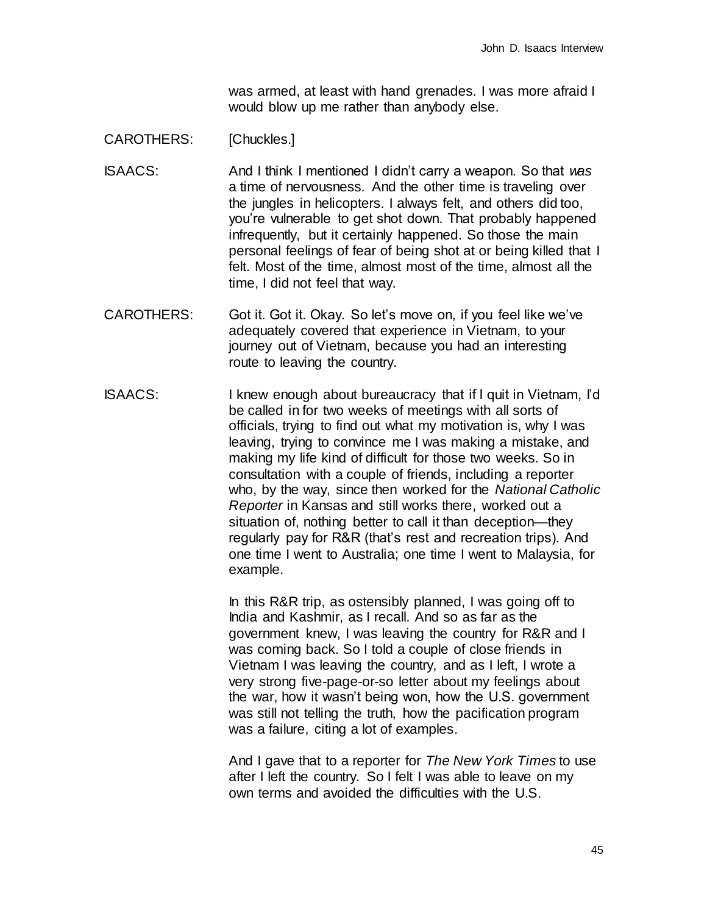was armed, at least with hand grenades. I was more afraid I would blow up me rather than anybody else.

## CAROTHERS: [Chuckles.]

- ISAACS: And I think I mentioned I didn't carry a weapon. So that *was* a time of nervousness. And the other time is traveling over the jungles in helicopters. I always felt, and others did too, you're vulnerable to get shot down. That probably happened infrequently, but it certainly happened. So those the main personal feelings of fear of being shot at or being killed that I felt. Most of the time, almost most of the time, almost all the time, I did not feel that way.
- CAROTHERS: Got it. Got it. Okay. So let's move on, if you feel like we've adequately covered that experience in Vietnam, to your journey out of Vietnam, because you had an interesting route to leaving the country.
- ISAACS: I knew enough about bureaucracy that if I quit in Vietnam, I'd be called in for two weeks of meetings with all sorts of officials, trying to find out what my motivation is, why I was leaving, trying to convince me I was making a mistake, and making my life kind of difficult for those two weeks. So in consultation with a couple of friends, including a reporter who, by the way, since then worked for the *National Catholic Reporter* in Kansas and still works there, worked out a situation of, nothing better to call it than deception—they regularly pay for R&R (that's rest and recreation trips). And one time I went to Australia; one time I went to Malaysia, for example.

In this R&R trip, as ostensibly planned, I was going off to India and Kashmir, as I recall. And so as far as the government knew, I was leaving the country for R&R and I was coming back. So I told a couple of close friends in Vietnam I was leaving the country, and as I left, I wrote a very strong five-page-or-so letter about my feelings about the war, how it wasn't being won, how the U.S. government was still not telling the truth, how the pacification program was a failure, citing a lot of examples.

And I gave that to a reporter for *The New York Times* to use after I left the country. So I felt I was able to leave on my own terms and avoided the difficulties with the U.S.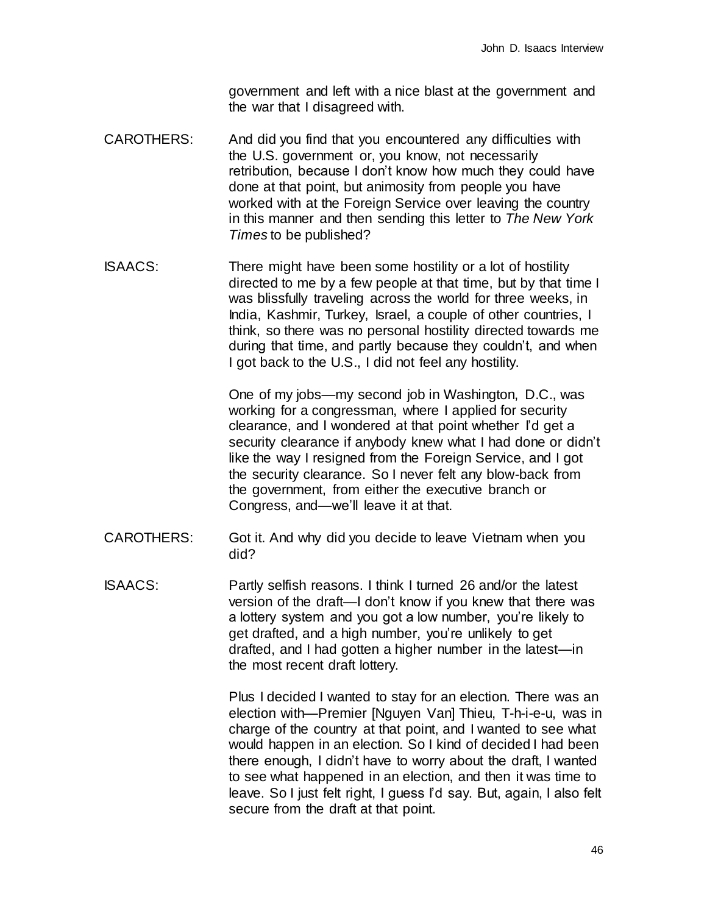government and left with a nice blast at the government and the war that I disagreed with.

- CAROTHERS: And did you find that you encountered any difficulties with the U.S. government or, you know, not necessarily retribution, because I don't know how much they could have done at that point, but animosity from people you have worked with at the Foreign Service over leaving the country in this manner and then sending this letter to *The New York Times* to be published?
- ISAACS: There might have been some hostility or a lot of hostility directed to me by a few people at that time, but by that time I was blissfully traveling across the world for three weeks, in India, Kashmir, Turkey, Israel, a couple of other countries, I think, so there was no personal hostility directed towards me during that time, and partly because they couldn't, and when I got back to the U.S., I did not feel any hostility.

One of my jobs—my second job in Washington, D.C., was working for a congressman, where I applied for security clearance, and I wondered at that point whether I'd get a security clearance if anybody knew what I had done or didn't like the way I resigned from the Foreign Service, and I got the security clearance. So I never felt any blow-back from the government, from either the executive branch or Congress, and—we'll leave it at that.

- CAROTHERS: Got it. And why did you decide to leave Vietnam when you did?
- ISAACS: Partly selfish reasons. I think I turned 26 and/or the latest version of the draft—I don't know if you knew that there was a lottery system and you got a low number, you're likely to get drafted, and a high number, you're unlikely to get drafted, and I had gotten a higher number in the latest—in the most recent draft lottery.

Plus I decided I wanted to stay for an election. There was an election with—Premier [Nguyen Van] Thieu, T-h-i-e-u, was in charge of the country at that point, and I wanted to see what would happen in an election. So I kind of decided I had been there enough, I didn't have to worry about the draft, I wanted to see what happened in an election, and then it was time to leave. So I just felt right, I guess I'd say. But, again, I also felt secure from the draft at that point.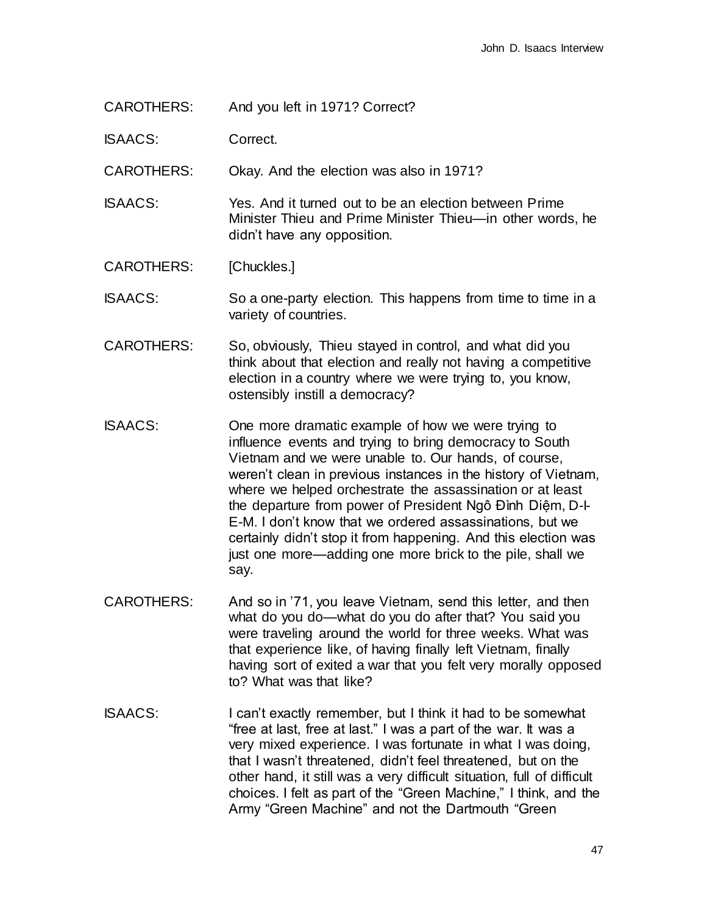CAROTHERS: And you left in 1971? Correct?

ISAACS: Correct.

CAROTHERS: Okay. And the election was also in 1971?

ISAACS: Yes. And it turned out to be an election between Prime Minister Thieu and Prime Minister Thieu—in other words, he didn't have any opposition.

CAROTHERS: [Chuckles.]

ISAACS: So a one-party election. This happens from time to time in a variety of countries.

- CAROTHERS: So, obviously, Thieu stayed in control, and what did you think about that election and really not having a competitive election in a country where we were trying to, you know, ostensibly instill a democracy?
- ISAACS: One more dramatic example of how we were trying to influence events and trying to bring democracy to South Vietnam and we were unable to. Our hands, of course, weren't clean in previous instances in the history of Vietnam, where we helped orchestrate the assassination or at least the departure from power of President Ngô Đình Diệm, D-I-E-M. I don't know that we ordered assassinations, but we certainly didn't stop it from happening. And this election was just one more—adding one more brick to the pile, shall we say.
- CAROTHERS: And so in '71, you leave Vietnam, send this letter, and then what do you do—what do you do after that? You said you were traveling around the world for three weeks. What was that experience like, of having finally left Vietnam, finally having sort of exited a war that you felt very morally opposed to? What was that like?
- ISAACS: I can't exactly remember, but I think it had to be somewhat "free at last, free at last." I was a part of the war. It was a very mixed experience. I was fortunate in what I was doing, that I wasn't threatened, didn't feel threatened, but on the other hand, it still was a very difficult situation, full of difficult choices. I felt as part of the "Green Machine," I think, and the Army "Green Machine" and not the Dartmouth "Green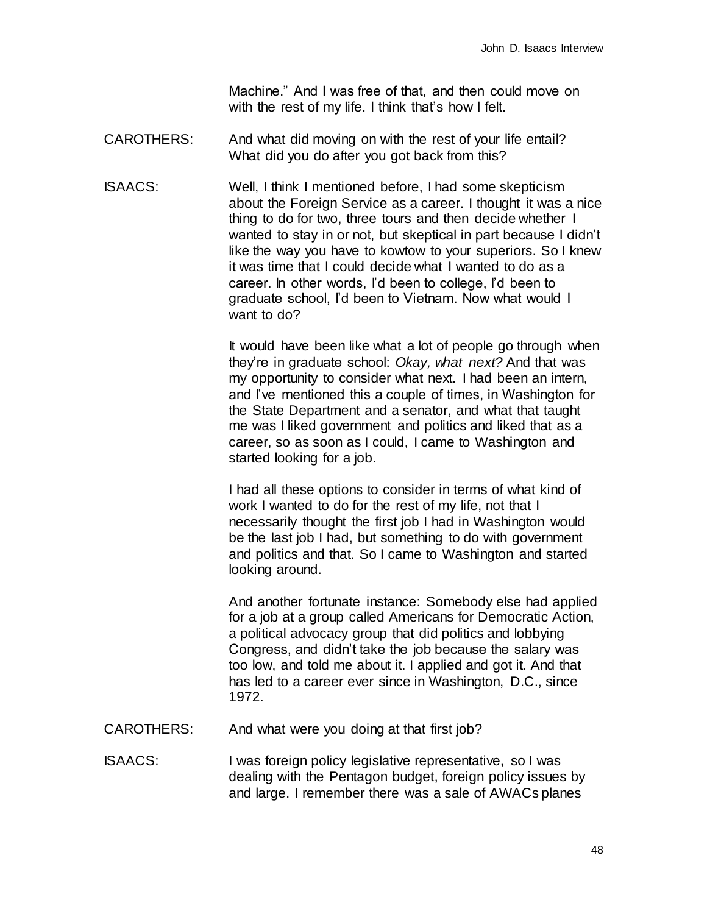Machine." And I was free of that, and then could move on with the rest of my life. I think that's how I felt.

- CAROTHERS: And what did moving on with the rest of your life entail? What did you do after you got back from this?
- ISAACS: Well, I think I mentioned before, I had some skepticism about the Foreign Service as a career. I thought it was a nice thing to do for two, three tours and then decide whether I wanted to stay in or not, but skeptical in part because I didn't like the way you have to kowtow to your superiors. So I knew it was time that I could decide what I wanted to do as a career. In other words, I'd been to college, I'd been to graduate school, I'd been to Vietnam. Now what would I want to do?

It would have been like what a lot of people go through when they're in graduate school: *Okay, what next?* And that was my opportunity to consider what next. I had been an intern, and I've mentioned this a couple of times, in Washington for the State Department and a senator, and what that taught me was I liked government and politics and liked that as a career, so as soon as I could, I came to Washington and started looking for a job.

I had all these options to consider in terms of what kind of work I wanted to do for the rest of my life, not that I necessarily thought the first job I had in Washington would be the last job I had, but something to do with government and politics and that. So I came to Washington and started looking around.

And another fortunate instance: Somebody else had applied for a job at a group called Americans for Democratic Action, a political advocacy group that did politics and lobbying Congress, and didn't take the job because the salary was too low, and told me about it. I applied and got it. And that has led to a career ever since in Washington, D.C., since 1972.

- CAROTHERS: And what were you doing at that first job?
- ISAACS: I was foreign policy legislative representative, so I was dealing with the Pentagon budget, foreign policy issues by and large. I remember there was a sale of AWACs planes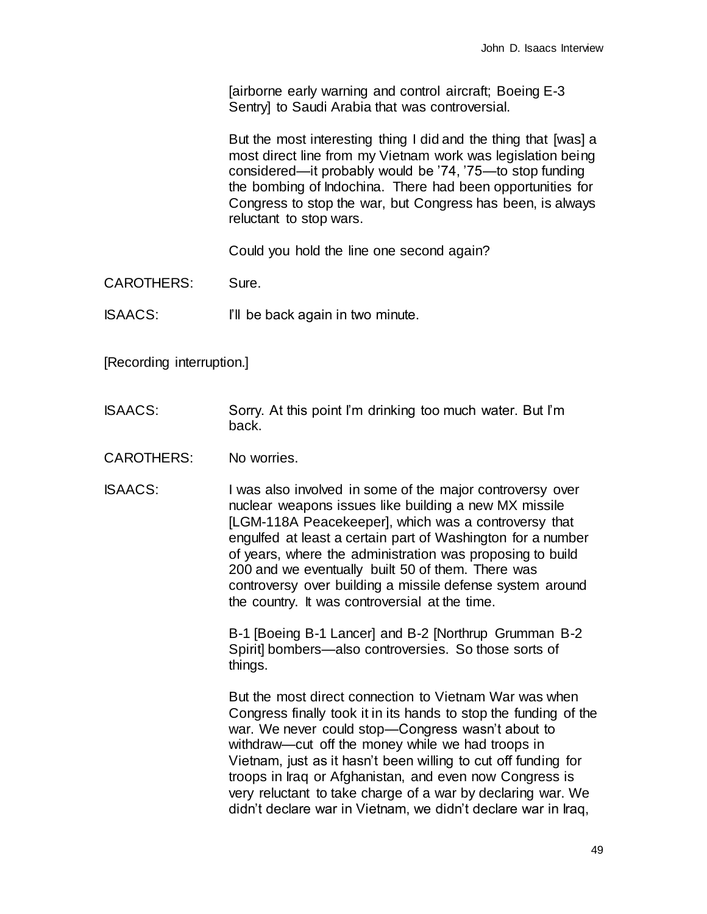[airborne early warning and control aircraft; Boeing E-3 Sentry] to Saudi Arabia that was controversial.

But the most interesting thing I did and the thing that [was] a most direct line from my Vietnam work was legislation being considered—it probably would be '74, '75—to stop funding the bombing of Indochina. There had been opportunities for Congress to stop the war, but Congress has been, is always reluctant to stop wars.

Could you hold the line one second again?

CAROTHERS: Sure.

ISAACS: I'll be back again in two minute.

[Recording interruption.]

- ISAACS: Sorry. At this point I'm drinking too much water. But I'm back.
- CAROTHERS: No worries.
- ISAACS: I was also involved in some of the major controversy over nuclear weapons issues like building a new MX missile [LGM-118A Peacekeeper], which was a controversy that engulfed at least a certain part of Washington for a number of years, where the administration was proposing to build 200 and we eventually built 50 of them. There was controversy over building a missile defense system around the country. It was controversial at the time.

B-1 [Boeing B-1 Lancer] and B-2 [Northrup Grumman B-2 Spirit] bombers—also controversies. So those sorts of things.

But the most direct connection to Vietnam War was when Congress finally took it in its hands to stop the funding of the war. We never could stop—Congress wasn't about to withdraw—cut off the money while we had troops in Vietnam, just as it hasn't been willing to cut off funding for troops in Iraq or Afghanistan, and even now Congress is very reluctant to take charge of a war by declaring war. We didn't declare war in Vietnam, we didn't declare war in Iraq,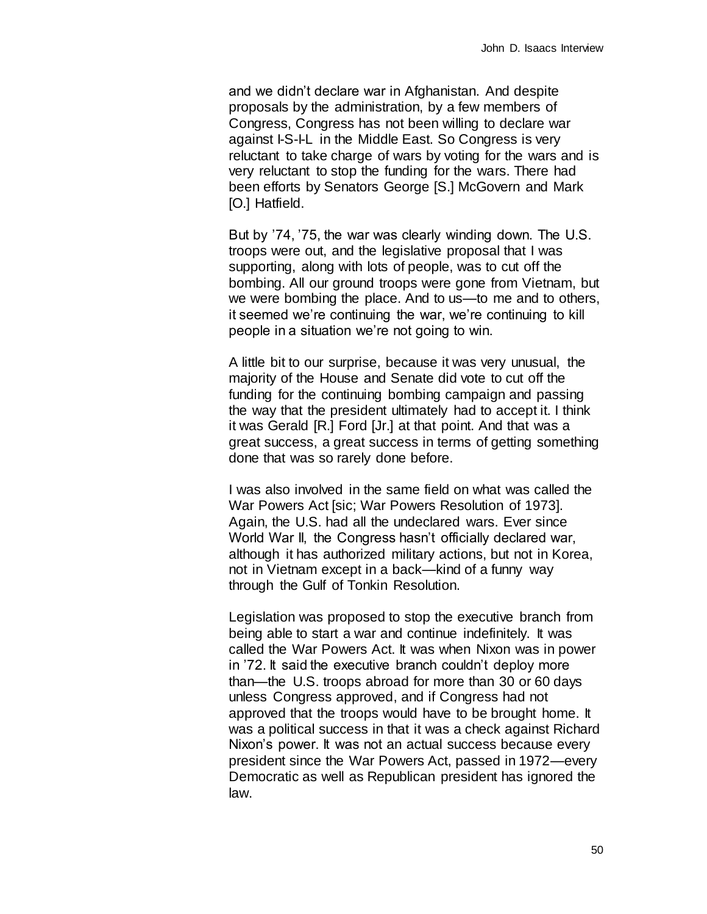and we didn't declare war in Afghanistan. And despite proposals by the administration, by a few members of Congress, Congress has not been willing to declare war against I-S-I-L in the Middle East. So Congress is very reluctant to take charge of wars by voting for the wars and is very reluctant to stop the funding for the wars. There had been efforts by Senators George [S.] McGovern and Mark [O.] Hatfield.

But by '74, '75, the war was clearly winding down. The U.S. troops were out, and the legislative proposal that I was supporting, along with lots of people, was to cut off the bombing. All our ground troops were gone from Vietnam, but we were bombing the place. And to us—to me and to others, it seemed we're continuing the war, we're continuing to kill people in a situation we're not going to win.

A little bit to our surprise, because it was very unusual, the majority of the House and Senate did vote to cut off the funding for the continuing bombing campaign and passing the way that the president ultimately had to accept it. I think it was Gerald [R.] Ford [Jr.] at that point. And that was a great success, a great success in terms of getting something done that was so rarely done before.

I was also involved in the same field on what was called the War Powers Act [sic; War Powers Resolution of 1973]. Again, the U.S. had all the undeclared wars. Ever since World War II, the Congress hasn't officially declared war, although it has authorized military actions, but not in Korea, not in Vietnam except in a back—kind of a funny way through the Gulf of Tonkin Resolution.

Legislation was proposed to stop the executive branch from being able to start a war and continue indefinitely. It was called the War Powers Act. It was when Nixon was in power in '72. It said the executive branch couldn't deploy more than—the U.S. troops abroad for more than 30 or 60 days unless Congress approved, and if Congress had not approved that the troops would have to be brought home. It was a political success in that it was a check against Richard Nixon's power. It was not an actual success because every president since the War Powers Act, passed in 1972—every Democratic as well as Republican president has ignored the law.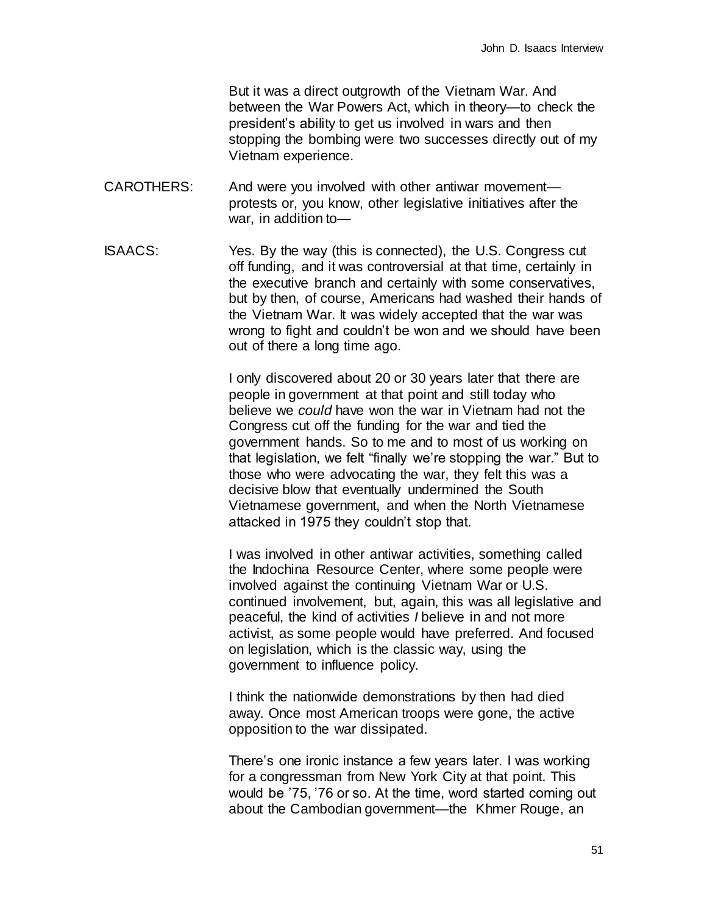But it was a direct outgrowth of the Vietnam War. And between the War Powers Act, which in theory—to check the president's ability to get us involved in wars and then stopping the bombing were two successes directly out of my Vietnam experience.

- CAROTHERS: And were you involved with other antiwar movement protests or, you know, other legislative initiatives after the war, in addition to—
- ISAACS: Yes. By the way (this is connected), the U.S. Congress cut off funding, and it was controversial at that time, certainly in the executive branch and certainly with some conservatives, but by then, of course, Americans had washed their hands of the Vietnam War. It was widely accepted that the war was wrong to fight and couldn't be won and we should have been out of there a long time ago.

I only discovered about 20 or 30 years later that there are people in government at that point and still today who believe we *could* have won the war in Vietnam had not the Congress cut off the funding for the war and tied the government hands. So to me and to most of us working on that legislation, we felt "finally we're stopping the war." But to those who were advocating the war, they felt this was a decisive blow that eventually undermined the South Vietnamese government, and when the North Vietnamese attacked in 1975 they couldn't stop that.

I was involved in other antiwar activities, something called the Indochina Resource Center, where some people were involved against the continuing Vietnam War or U.S. continued involvement, but, again, this was all legislative and peaceful, the kind of activities *I* believe in and not more activist, as some people would have preferred. And focused on legislation, which is the classic way, using the government to influence policy.

I think the nationwide demonstrations by then had died away. Once most American troops were gone, the active opposition to the war dissipated.

There's one ironic instance a few years later. I was working for a congressman from New York City at that point. This would be '75, '76 or so. At the time, word started coming out about the Cambodian government—the Khmer Rouge, an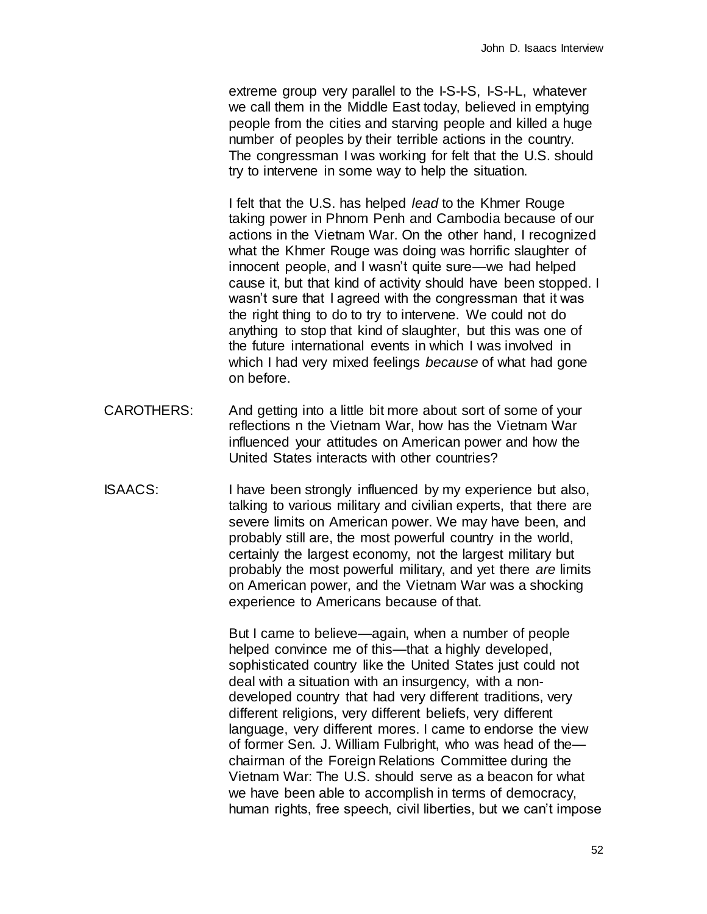extreme group very parallel to the I-S-I-S, I-S-I-L, whatever we call them in the Middle East today, believed in emptying people from the cities and starving people and killed a huge number of peoples by their terrible actions in the country. The congressman I was working for felt that the U.S. should try to intervene in some way to help the situation.

I felt that the U.S. has helped *lead* to the Khmer Rouge taking power in Phnom Penh and Cambodia because of our actions in the Vietnam War. On the other hand, I recognized what the Khmer Rouge was doing was horrific slaughter of innocent people, and I wasn't quite sure—we had helped cause it, but that kind of activity should have been stopped. I wasn't sure that I agreed with the congressman that it was the right thing to do to try to intervene. We could not do anything to stop that kind of slaughter, but this was one of the future international events in which I was involved in which I had very mixed feelings *because* of what had gone on before.

- CAROTHERS: And getting into a little bit more about sort of some of your reflections n the Vietnam War, how has the Vietnam War influenced your attitudes on American power and how the United States interacts with other countries?
- ISAACS: I have been strongly influenced by my experience but also, talking to various military and civilian experts, that there are severe limits on American power. We may have been, and probably still are, the most powerful country in the world, certainly the largest economy, not the largest military but probably the most powerful military, and yet there *are* limits on American power, and the Vietnam War was a shocking experience to Americans because of that.

But I came to believe—again, when a number of people helped convince me of this—that a highly developed, sophisticated country like the United States just could not deal with a situation with an insurgency, with a nondeveloped country that had very different traditions, very different religions, very different beliefs, very different language, very different mores. I came to endorse the view of former Sen. J. William Fulbright, who was head of the chairman of the Foreign Relations Committee during the Vietnam War: The U.S. should serve as a beacon for what we have been able to accomplish in terms of democracy, human rights, free speech, civil liberties, but we can't impose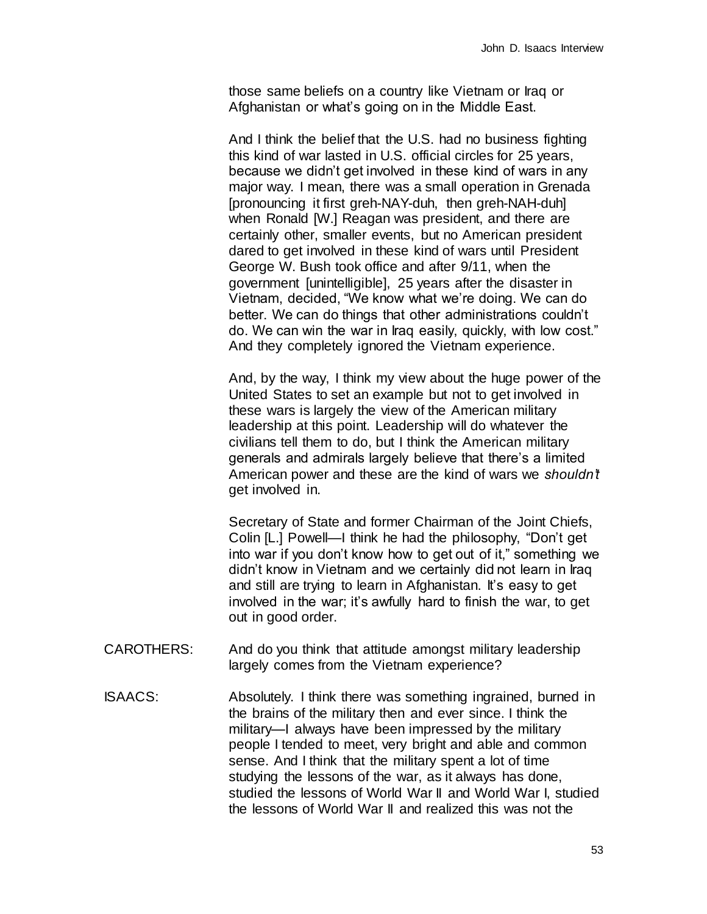those same beliefs on a country like Vietnam or Iraq or Afghanistan or what's going on in the Middle East.

And I think the belief that the U.S. had no business fighting this kind of war lasted in U.S. official circles for 25 years, because we didn't get involved in these kind of wars in any major way. I mean, there was a small operation in Grenada [pronouncing it first greh-NAY-duh, then greh-NAH-duh] when Ronald [W.] Reagan was president, and there are certainly other, smaller events, but no American president dared to get involved in these kind of wars until President George W. Bush took office and after 9/11, when the government [unintelligible], 25 years after the disaster in Vietnam, decided, "We know what we're doing. We can do better. We can do things that other administrations couldn't do. We can win the war in Iraq easily, quickly, with low cost." And they completely ignored the Vietnam experience.

And, by the way, I think my view about the huge power of the United States to set an example but not to get involved in these wars is largely the view of the American military leadership at this point. Leadership will do whatever the civilians tell them to do, but I think the American military generals and admirals largely believe that there's a limited American power and these are the kind of wars we *shouldn't*  get involved in.

Secretary of State and former Chairman of the Joint Chiefs, Colin [L.] Powell—I think he had the philosophy, "Don't get into war if you don't know how to get out of it," something we didn't know in Vietnam and we certainly did not learn in Iraq and still are trying to learn in Afghanistan. It's easy to get involved in the war; it's awfully hard to finish the war, to get out in good order.

- CAROTHERS: And do you think that attitude amongst military leadership largely comes from the Vietnam experience?
- ISAACS: Absolutely. I think there was something ingrained, burned in the brains of the military then and ever since. I think the military—I always have been impressed by the military people I tended to meet, very bright and able and common sense. And I think that the military spent a lot of time studying the lessons of the war, as it always has done, studied the lessons of World War II and World War I, studied the lessons of World War II and realized this was not the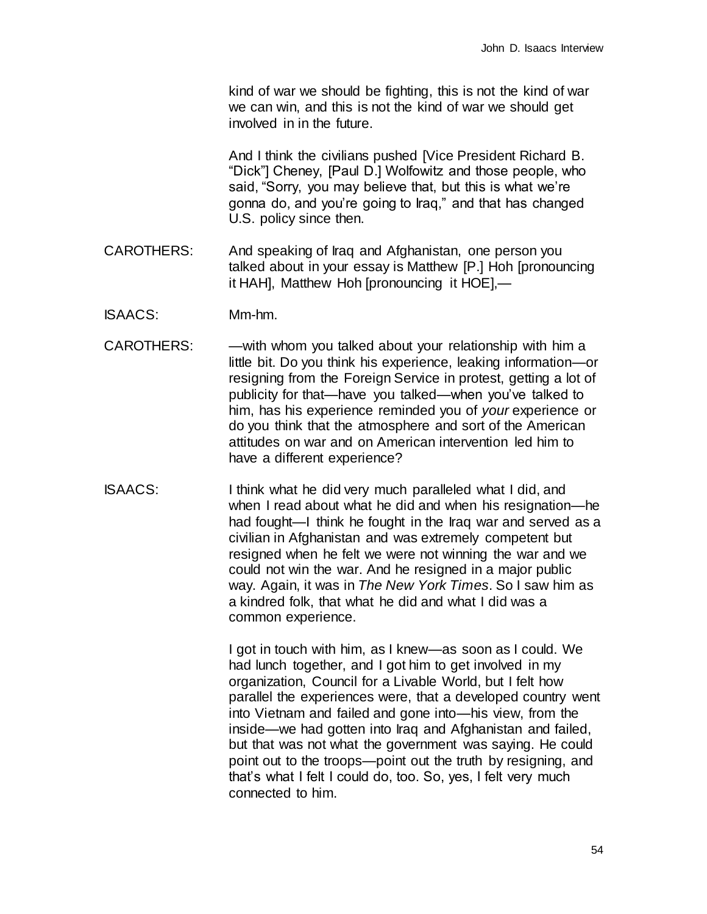kind of war we should be fighting, this is not the kind of war we can win, and this is not the kind of war we should get involved in in the future.

And I think the civilians pushed [Vice President Richard B. "Dick"] Cheney, [Paul D.] Wolfowitz and those people, who said, "Sorry, you may believe that, but this is what we're gonna do, and you're going to Iraq," and that has changed U.S. policy since then.

- CAROTHERS: And speaking of Iraq and Afghanistan, one person you talked about in your essay is Matthew [P.] Hoh [pronouncing it HAH], Matthew Hoh [pronouncing it HOE],—
- ISAACS: Mm-hm.
- CAROTHERS: — with whom you talked about your relationship with him a little bit. Do you think his experience, leaking information—or resigning from the Foreign Service in protest, getting a lot of publicity for that—have you talked—when you've talked to him, has his experience reminded you of *your* experience or do you think that the atmosphere and sort of the American attitudes on war and on American intervention led him to have a different experience?
- ISAACS: I think what he did very much paralleled what I did, and when I read about what he did and when his resignation—he had fought—I think he fought in the Iraq war and served as a civilian in Afghanistan and was extremely competent but resigned when he felt we were not winning the war and we could not win the war. And he resigned in a major public way. Again, it was in *The New York Times*. So I saw him as a kindred folk, that what he did and what I did was a common experience.

I got in touch with him, as I knew—as soon as I could. We had lunch together, and I got him to get involved in my organization, Council for a Livable World, but I felt how parallel the experiences were, that a developed country went into Vietnam and failed and gone into—his view, from the inside—we had gotten into Iraq and Afghanistan and failed, but that was not what the government was saying. He could point out to the troops—point out the truth by resigning, and that's what I felt I could do, too. So, yes, I felt very much connected to him.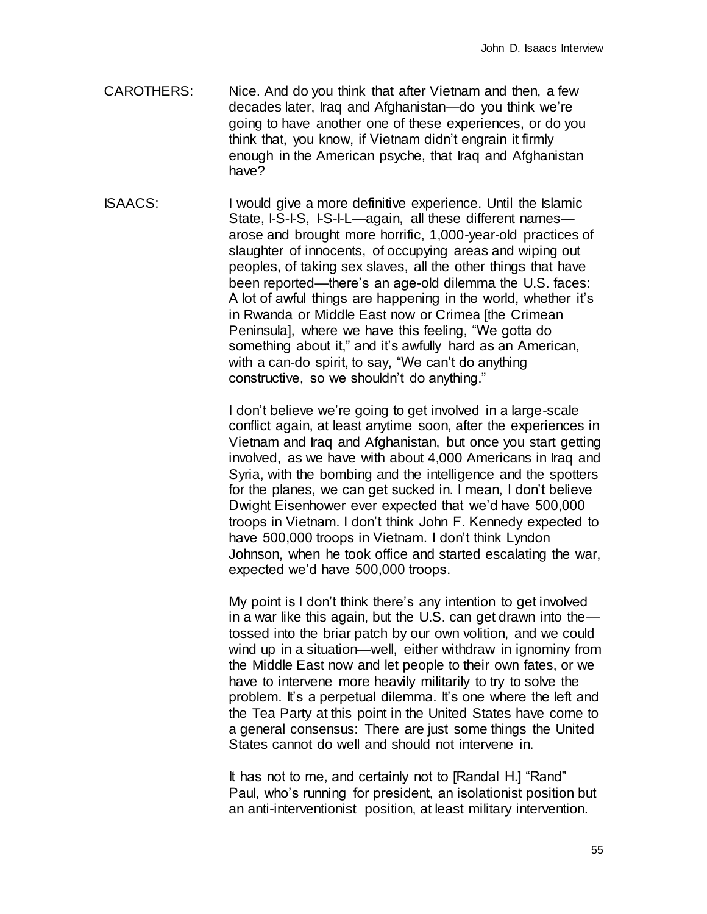- CAROTHERS: Nice. And do you think that after Vietnam and then, a few decades later, Iraq and Afghanistan—do you think we're going to have another one of these experiences, or do you think that, you know, if Vietnam didn't engrain it firmly enough in the American psyche, that Iraq and Afghanistan have?
- ISAACS: I would give a more definitive experience. Until the Islamic State, I-S-I-S, I-S-I-L—again, all these different names arose and brought more horrific, 1,000-year-old practices of slaughter of innocents, of occupying areas and wiping out peoples, of taking sex slaves, all the other things that have been reported—there's an age-old dilemma the U.S. faces: A lot of awful things are happening in the world, whether it's in Rwanda or Middle East now or Crimea [the Crimean Peninsula], where we have this feeling, "We gotta do something about it," and it's awfully hard as an American, with a can-do spirit, to say, "We can't do anything constructive, so we shouldn't do anything."

I don't believe we're going to get involved in a large-scale conflict again, at least anytime soon, after the experiences in Vietnam and Iraq and Afghanistan, but once you start getting involved, as we have with about 4,000 Americans in Iraq and Syria, with the bombing and the intelligence and the spotters for the planes, we can get sucked in. I mean, I don't believe Dwight Eisenhower ever expected that we'd have 500,000 troops in Vietnam. I don't think John F. Kennedy expected to have 500,000 troops in Vietnam. I don't think Lyndon Johnson, when he took office and started escalating the war, expected we'd have 500,000 troops.

My point is I don't think there's any intention to get involved in a war like this again, but the U.S. can get drawn into the tossed into the briar patch by our own volition, and we could wind up in a situation—well, either withdraw in ignominy from the Middle East now and let people to their own fates, or we have to intervene more heavily militarily to try to solve the problem. It's a perpetual dilemma. It's one where the left and the Tea Party at this point in the United States have come to a general consensus: There are just some things the United States cannot do well and should not intervene in.

It has not to me, and certainly not to [Randal H.] "Rand" Paul, who's running for president, an isolationist position but an anti-interventionist position, at least military intervention.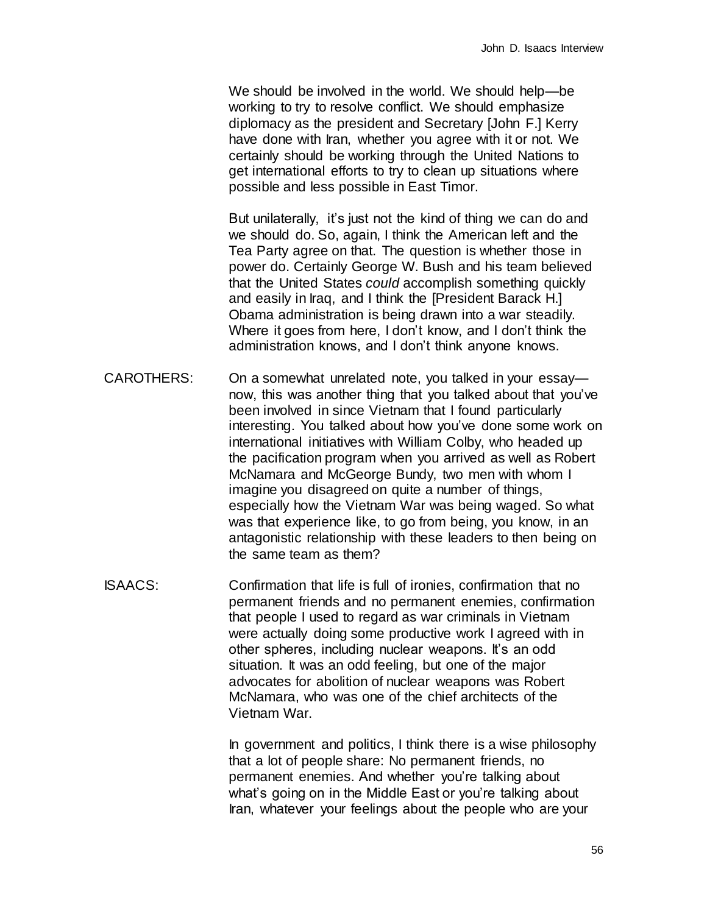We should be involved in the world. We should help—be working to try to resolve conflict. We should emphasize diplomacy as the president and Secretary [John F.] Kerry have done with Iran, whether you agree with it or not. We certainly should be working through the United Nations to get international efforts to try to clean up situations where possible and less possible in East Timor.

But unilaterally, it's just not the kind of thing we can do and we should do. So, again, I think the American left and the Tea Party agree on that. The question is whether those in power do. Certainly George W. Bush and his team believed that the United States *could* accomplish something quickly and easily in Iraq, and I think the [President Barack H.] Obama administration is being drawn into a war steadily. Where it goes from here, I don't know, and I don't think the administration knows, and I don't think anyone knows.

CAROTHERS: On a somewhat unrelated note, you talked in your essay now, this was another thing that you talked about that you've been involved in since Vietnam that I found particularly interesting. You talked about how you've done some work on international initiatives with William Colby, who headed up the pacification program when you arrived as well as Robert McNamara and McGeorge Bundy, two men with whom I imagine you disagreed on quite a number of things, especially how the Vietnam War was being waged. So what was that experience like, to go from being, you know, in an antagonistic relationship with these leaders to then being on the same team as them?

ISAACS: Confirmation that life is full of ironies, confirmation that no permanent friends and no permanent enemies, confirmation that people I used to regard as war criminals in Vietnam were actually doing some productive work I agreed with in other spheres, including nuclear weapons. It's an odd situation. It was an odd feeling, but one of the major advocates for abolition of nuclear weapons was Robert McNamara, who was one of the chief architects of the Vietnam War.

> In government and politics, I think there is a wise philosophy that a lot of people share: No permanent friends, no permanent enemies. And whether you're talking about what's going on in the Middle East or you're talking about Iran, whatever your feelings about the people who are your